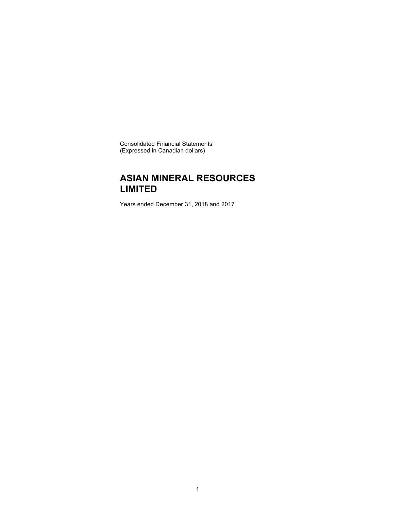Consolidated Financial Statements (Expressed in Canadian dollars)

### **ASIAN MINERAL RESOURCES LIMITED**

Years ended December 31, 2018 and 2017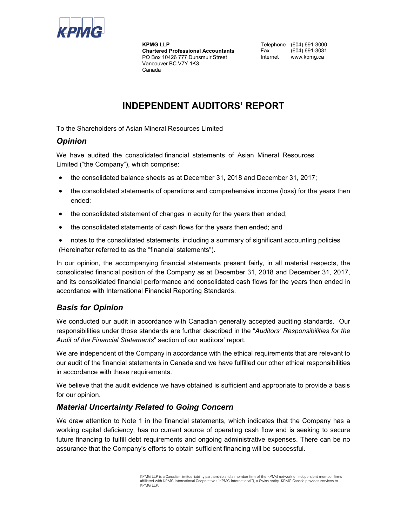

**KPMG LLP Chartered Professional Accountants** PO Box 10426 777 Dunsmuir Street Vancouver BC V7Y 1K3 Canada

Telephone (604) 691-3000<br>Fax (604) 691-3031 Fax (604) 691-3031<br>Internet www.kpmg.ca www.kpmg.ca

### **INDEPENDENT AUDITORS' REPORT**

To the Shareholders of Asian Mineral Resources Limited

### *Opinion*

We have audited the consolidated financial statements of Asian Mineral Resources Limited ("the Company"), which comprise:

- the consolidated balance sheets as at December 31, 2018 and December 31, 2017;
- the consolidated statements of operations and comprehensive income (loss) for the years then ended;
- the consolidated statement of changes in equity for the years then ended;
- the consolidated statements of cash flows for the years then ended; and
- notes to the consolidated statements, including a summary of significant accounting policies (Hereinafter referred to as the "financial statements").

In our opinion, the accompanying financial statements present fairly, in all material respects, the consolidated financial position of the Company as at December 31, 2018 and December 31, 2017, and its consolidated financial performance and consolidated cash flows for the years then ended in accordance with International Financial Reporting Standards.

### *Basis for Opinion*

We conducted our audit in accordance with Canadian generally accepted auditing standards. Our responsibilities under those standards are further described in the "*Auditors' Responsibilities for the Audit of the Financial Statements*" section of our auditors' report.

We are independent of the Company in accordance with the ethical requirements that are relevant to our audit of the financial statements in Canada and we have fulfilled our other ethical responsibilities in accordance with these requirements.

We believe that the audit evidence we have obtained is sufficient and appropriate to provide a basis for our opinion.

### *Material Uncertainty Related to Going Concern*

We draw attention to Note 1 in the financial statements, which indicates that the Company has a working capital deficiency, has no current source of operating cash flow and is seeking to secure future financing to fulfill debt requirements and ongoing administrative expenses. There can be no assurance that the Company's efforts to obtain sufficient financing will be successful.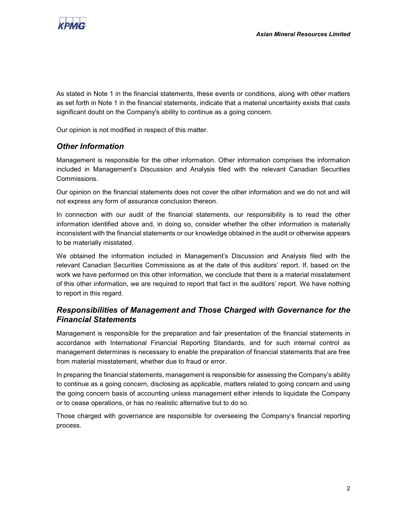

As stated in Note 1 in the financial statements, these events or conditions, along with other matters as set forth in Note 1 in the financial statements, indicate that a material uncertainty exists that casts significant doubt on the Company's ability to continue as a going concern.

Our opinion is not modified in respect of this matter.

### *Other Information*

Management is responsible for the other information. Other information comprises the information included in Management's Discussion and Analysis filed with the relevant Canadian Securities Commissions.

Our opinion on the financial statements does not cover the other information and we do not and will not express any form of assurance conclusion thereon.

In connection with our audit of the financial statements, our responsibility is to read the other information identified above and, in doing so, consider whether the other information is materially inconsistent with the financial statements or our knowledge obtained in the audit or otherwise appears to be materially misstated.

We obtained the information included in Management's Discussion and Analysis filed with the relevant Canadian Securities Commissions as at the date of this auditors' report. If, based on the work we have performed on this other information, we conclude that there is a material misstatement of this other information, we are required to report that fact in the auditors' report. We have nothing to report in this regard.

### *Responsibilities of Management and Those Charged with Governance for the Financial Statements*

Management is responsible for the preparation and fair presentation of the financial statements in accordance with International Financial Reporting Standards, and for such internal control as management determines is necessary to enable the preparation of financial statements that are free from material misstatement, whether due to fraud or error.

In preparing the financial statements, management is responsible for assessing the Company's ability to continue as a going concern, disclosing as applicable, matters related to going concern and using the going concern basis of accounting unless management either intends to liquidate the Company or to cease operations, or has no realistic alternative but to do so.

Those charged with governance are responsible for overseeing the Company's financial reporting process.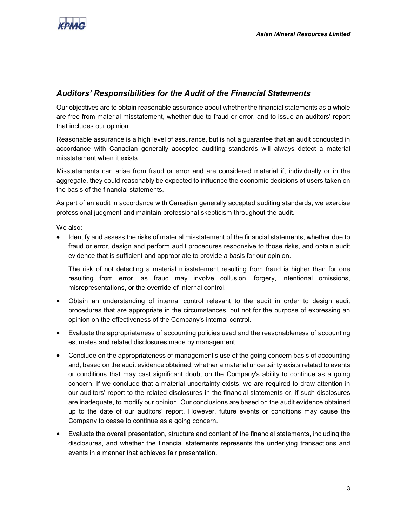

### *Auditors' Responsibilities for the Audit of the Financial Statements*

Our objectives are to obtain reasonable assurance about whether the financial statements as a whole are free from material misstatement, whether due to fraud or error, and to issue an auditors' report that includes our opinion.

Reasonable assurance is a high level of assurance, but is not a guarantee that an audit conducted in accordance with Canadian generally accepted auditing standards will always detect a material misstatement when it exists.

Misstatements can arise from fraud or error and are considered material if, individually or in the aggregate, they could reasonably be expected to influence the economic decisions of users taken on the basis of the financial statements.

As part of an audit in accordance with Canadian generally accepted auditing standards, we exercise professional judgment and maintain professional skepticism throughout the audit.

We also:

• Identify and assess the risks of material misstatement of the financial statements, whether due to fraud or error, design and perform audit procedures responsive to those risks, and obtain audit evidence that is sufficient and appropriate to provide a basis for our opinion.

The risk of not detecting a material misstatement resulting from fraud is higher than for one resulting from error, as fraud may involve collusion, forgery, intentional omissions, misrepresentations, or the override of internal control.

- Obtain an understanding of internal control relevant to the audit in order to design audit procedures that are appropriate in the circumstances, but not for the purpose of expressing an opinion on the effectiveness of the Company's internal control.
- Evaluate the appropriateness of accounting policies used and the reasonableness of accounting estimates and related disclosures made by management.
- Conclude on the appropriateness of management's use of the going concern basis of accounting and, based on the audit evidence obtained, whether a material uncertainty exists related to events or conditions that may cast significant doubt on the Company's ability to continue as a going concern. If we conclude that a material uncertainty exists, we are required to draw attention in our auditors' report to the related disclosures in the financial statements or, if such disclosures are inadequate, to modify our opinion. Our conclusions are based on the audit evidence obtained up to the date of our auditors' report. However, future events or conditions may cause the Company to cease to continue as a going concern.
- Evaluate the overall presentation, structure and content of the financial statements, including the disclosures, and whether the financial statements represents the underlying transactions and events in a manner that achieves fair presentation.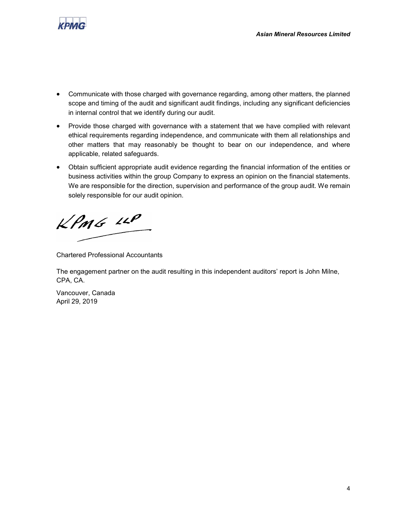

- Communicate with those charged with governance regarding, among other matters, the planned scope and timing of the audit and significant audit findings, including any significant deficiencies in internal control that we identify during our audit.
- Provide those charged with governance with a statement that we have complied with relevant ethical requirements regarding independence, and communicate with them all relationships and other matters that may reasonably be thought to bear on our independence, and where applicable, related safeguards.
- Obtain sufficient appropriate audit evidence regarding the financial information of the entities or business activities within the group Company to express an opinion on the financial statements. We are responsible for the direction, supervision and performance of the group audit. We remain solely responsible for our audit opinion.

 $KPMG$  11P

Chartered Professional Accountants

The engagement partner on the audit resulting in this independent auditors' report is John Milne, CPA, CA.

Vancouver, Canada April 29, 2019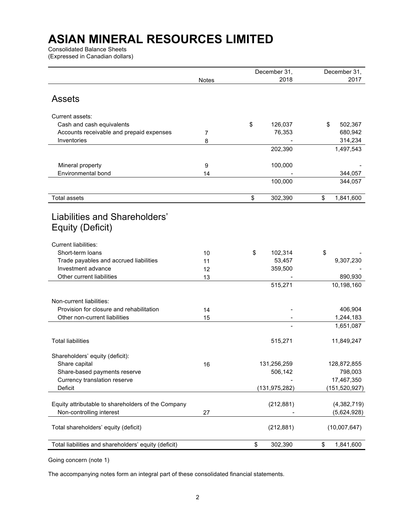Consolidated Balance Sheets (Expressed in Canadian dollars)

|                                                              |              | December 31,<br>December 31, |                       |  |
|--------------------------------------------------------------|--------------|------------------------------|-----------------------|--|
|                                                              | <b>Notes</b> | 2018                         | 2017                  |  |
| <b>Assets</b>                                                |              |                              |                       |  |
|                                                              |              |                              |                       |  |
| Current assets:                                              |              |                              |                       |  |
| Cash and cash equivalents                                    |              | \$<br>126,037                | 502,367<br>\$         |  |
| Accounts receivable and prepaid expenses<br>Inventories      | 7            | 76,353                       | 680,942<br>314,234    |  |
|                                                              | 8            | 202,390                      | 1,497,543             |  |
|                                                              |              |                              |                       |  |
| Mineral property                                             | 9            | 100,000                      |                       |  |
| Environmental bond                                           | 14           |                              | 344,057               |  |
|                                                              |              | 100,000                      | 344,057               |  |
| <b>Total assets</b>                                          |              | \$<br>302,390                | \$<br>1,841,600       |  |
|                                                              |              |                              |                       |  |
| Liabilities and Shareholders'                                |              |                              |                       |  |
| Equity (Deficit)                                             |              |                              |                       |  |
|                                                              |              |                              |                       |  |
| <b>Current liabilities:</b>                                  |              |                              |                       |  |
| Short-term loans                                             | 10           | \$<br>102,314                | \$                    |  |
| Trade payables and accrued liabilities                       | 11           | 53,457                       | 9,307,230             |  |
| Investment advance<br>Other current liabilities              | 12<br>13     | 359,500                      | 890,930               |  |
|                                                              |              | 515,271                      | 10,198,160            |  |
|                                                              |              |                              |                       |  |
| Non-current liabilities:                                     |              |                              |                       |  |
| Provision for closure and rehabilitation                     | 14           |                              | 406,904               |  |
| Other non-current liabilities                                | 15           |                              | 1,244,183             |  |
|                                                              |              |                              | 1,651,087             |  |
| <b>Total liabilities</b>                                     |              | 515,271                      | 11,849,247            |  |
|                                                              |              |                              |                       |  |
| Shareholders' equity (deficit):                              |              |                              |                       |  |
| Share capital                                                | 16           | 131,256,259                  | 128,872,855           |  |
| Share-based payments reserve<br>Currency translation reserve |              | 506,142                      | 798,003<br>17,467,350 |  |
| Deficit                                                      |              | (131, 975, 282)              | (151, 520, 927)       |  |
|                                                              |              |                              |                       |  |
| Equity attributable to shareholders of the Company           |              | (212, 881)                   | (4,382,719)           |  |
| Non-controlling interest                                     | 27           |                              | (5,624,928)           |  |
| Total shareholders' equity (deficit)                         |              | (212, 881)                   | (10,007,647)          |  |
| Total liabilities and shareholders' equity (deficit)         |              | 302,390<br>\$                | 1,841,600<br>\$       |  |
|                                                              |              |                              |                       |  |

Going concern (note 1)

The accompanying notes form an integral part of these consolidated financial statements.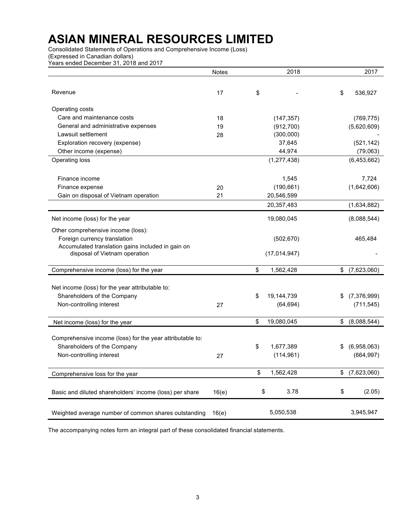Consolidated Statements of Operations and Comprehensive Income (Loss) (Expressed in Canadian dollars)

Years ended December 31, 2018 and 2017

|                                                           | <b>Notes</b> | 2018             |    | 2017        |
|-----------------------------------------------------------|--------------|------------------|----|-------------|
|                                                           |              |                  |    |             |
| Revenue                                                   | 17           | \$               | \$ | 536,927     |
|                                                           |              |                  |    |             |
| Operating costs                                           |              |                  |    |             |
| Care and maintenance costs                                | 18           | (147, 357)       |    | (769, 775)  |
| General and administrative expenses                       | 19           | (912, 700)       |    | (5,620,609) |
| Lawsuit settlement                                        | 28           | (300,000)        |    |             |
| Exploration recovery (expense)                            |              | 37,645           |    | (521, 142)  |
| Other income (expense)                                    |              | 44,974           |    | (79,063)    |
| Operating loss                                            |              | (1, 277, 438)    |    | (6,453,662) |
|                                                           |              |                  |    |             |
| Finance income                                            |              | 1,545            |    | 7,724       |
| Finance expense                                           | 20           | (190, 661)       |    | (1,642,606) |
| Gain on disposal of Vietnam operation                     | 21           | 20,546,599       |    |             |
|                                                           |              | 20,357,483       |    | (1,634,882) |
|                                                           |              |                  |    |             |
| Net income (loss) for the year                            |              | 19,080,045       |    | (8,088,544) |
| Other comprehensive income (loss):                        |              |                  |    |             |
| Foreign currency translation                              |              | (502, 670)       |    | 465,484     |
| Accumulated translation gains included in gain on         |              |                  |    |             |
| disposal of Vietnam operation                             |              | (17, 014, 947)   |    |             |
|                                                           |              |                  |    |             |
| Comprehensive income (loss) for the year                  |              | \$<br>1,562,428  | \$ | (7,623,060) |
|                                                           |              |                  |    |             |
| Net income (loss) for the year attributable to:           |              |                  |    |             |
| Shareholders of the Company                               |              | \$<br>19,144,739 | S  | (7,376,999) |
| Non-controlling interest                                  | 27           | (64, 694)        |    | (711, 545)  |
|                                                           |              |                  |    |             |
| Net income (loss) for the year                            |              | \$<br>19,080,045 | \$ | (8,088,544) |
|                                                           |              |                  |    |             |
| Comprehensive income (loss) for the year attributable to: |              |                  |    |             |
| Shareholders of the Company                               |              | \$<br>1,677,389  | \$ | (6,958,063) |
| Non-controlling interest                                  | 27           | (114, 961)       |    | (664, 997)  |
|                                                           |              | \$<br>1,562,428  | \$ | (7,623,060) |
| Comprehensive loss for the year                           |              |                  |    |             |
|                                                           |              |                  |    |             |
| Basic and diluted shareholders' income (loss) per share   | 16(e)        | \$<br>3.78       | \$ | (2.05)      |
|                                                           |              |                  |    |             |
| Weighted average number of common shares outstanding      | 16(e)        | 5,050,538        |    | 3,945,947   |

The accompanying notes form an integral part of these consolidated financial statements.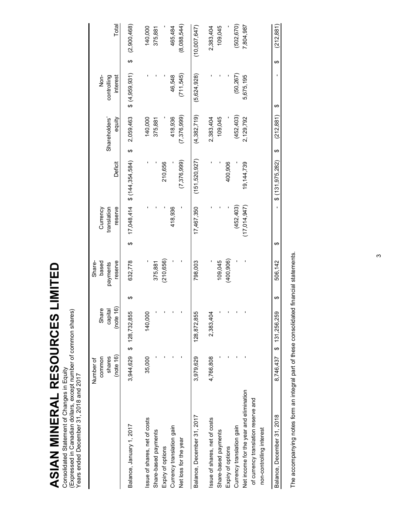ASIAN MINERAL RESOURCES LIMITED **ASIAN MINERAL RESOURCES LIMITED**

Consolidated Statement of Changes in Equity

Consolidated Statement of Changes in Equity<br>(Expressed in Canadian dollars, except number of common shares)<br>Years ended December 31, 2018 and 2017 (Expressed in Canadian dollars, except number of common shares) Years ended December 31, 2018 and 2017

|                                         | shares<br>common<br>Number of | Share<br>capital         |   | based<br>Share-<br>payments |   | Currency<br>translation |                                 |    | Shareholders' | Non-<br>controlling |   |              |
|-----------------------------------------|-------------------------------|--------------------------|---|-----------------------------|---|-------------------------|---------------------------------|----|---------------|---------------------|---|--------------|
|                                         | (note 16)                     | (note 16)                |   | reserve                     |   | reserve                 | Deficit                         |    | equity        | interest            |   | Total        |
| Balance, January 1, 2017                |                               | 3,944,629 \$ 128,732,855 | ക | 632,778                     | ക |                         | $17,048,414$ \$ $(144,354,584)$ | ക  | 2,059,463     | \$(4,959,931)       | ക | (2,900,468)  |
| Issue of shares, net of costs           | 35,000                        | 140,000                  |   |                             |   |                         |                                 |    | 140,000       |                     |   | 140,000      |
| Share-based payments                    |                               |                          |   | 375,881                     |   |                         |                                 |    | 375,881       |                     |   | 375,881      |
| Expiry of options                       |                               |                          |   | (210, 656)                  |   |                         | 210,656                         |    |               |                     |   |              |
| Currency translation gain               |                               |                          |   |                             |   | 418,936                 |                                 |    | 418,936       | 46,548              |   | 465,484      |
| Net loss for the year                   |                               |                          |   |                             |   |                         | (7, 376, 999)                   |    | (7, 376, 999) | (711, 545)          |   | (8,088,544)  |
| Balance, December 31, 2017              | 3,979,629                     | ,855<br>128,872,         |   | 798,003                     |   | 17,467,350              | (151, 520, 927)                 |    | (4,382,719)   | (5,624,928)         |   | (10,007,647) |
| Issue of shares, net of costs           | 4,766,808                     | 404<br>2,383,4           |   |                             |   |                         |                                 |    | 2,383,404     |                     |   | 2,383,404    |
| Share-based payments                    |                               |                          |   | 109,045                     |   |                         |                                 |    | 109,045       |                     |   | 109,045      |
| Expiry of options                       |                               |                          |   | (400, 906)                  |   |                         | 400,906                         |    |               |                     |   |              |
| Currency translation gain               |                               |                          |   |                             |   | (452, 403)              |                                 |    | (452, 403)    | (50, 267)           |   | (502, 670)   |
| Net income for the year and elimination |                               |                          |   |                             |   | (17, 014, 947)          | 19,144,739                      |    | 2,129,792     | 5,675,195           |   | 7,804,987    |
| of currency translation reserve and     |                               |                          |   |                             |   |                         |                                 |    |               |                     |   |              |
| non-controlling interest                |                               |                          |   |                             |   |                         |                                 |    |               |                     |   |              |
| Balance, December 31, 2018              | 8,746,437                     | \$131,256,259            | ↮ | 506,142                     | ↮ |                         | \$(131, 975, 282)               | မာ | (212, 881)    | ക                   | ക | (212, 881)   |
|                                         |                               |                          |   |                             |   |                         |                                 |    |               |                     |   |              |

The accompanying notes form an integral part of these consolidated financial statements. The accompanying notes form an integral part of these consolidated financial statements.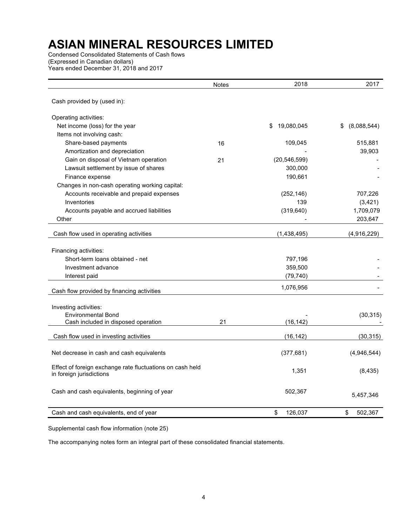Condensed Consolidated Statements of Cash flows (Expressed in Canadian dollars) Years ended December 31, 2018 and 2017

|                                                           | <b>Notes</b> | 2018             | 2017              |
|-----------------------------------------------------------|--------------|------------------|-------------------|
| Cash provided by (used in):                               |              |                  |                   |
| Operating activities:                                     |              |                  |                   |
| Net income (loss) for the year                            |              | 19,080,045<br>\$ | (8,088,544)<br>\$ |
| Items not involving cash:                                 |              |                  |                   |
| Share-based payments                                      | 16           | 109,045          | 515,881           |
| Amortization and depreciation                             |              |                  | 39,903            |
| Gain on disposal of Vietnam operation                     | 21           | (20, 546, 599)   |                   |
| Lawsuit settlement by issue of shares                     |              | 300,000          |                   |
| Finance expense                                           |              | 190,661          |                   |
| Changes in non-cash operating working capital:            |              |                  |                   |
| Accounts receivable and prepaid expenses                  |              | (252, 146)       | 707,226           |
| Inventories                                               |              | 139              | (3, 421)          |
| Accounts payable and accrued liabilities                  |              | (319, 640)       | 1,709,079         |
| Other                                                     |              |                  | 203,647           |
| Cash flow used in operating activities                    |              | (1,438,495)      | (4,916,229)       |
|                                                           |              |                  |                   |
| Financing activities:                                     |              |                  |                   |
| Short-term loans obtained - net                           |              | 797,196          |                   |
| Investment advance                                        |              | 359,500          |                   |
| Interest paid                                             |              | (79, 740)        |                   |
|                                                           |              | 1,076,956        |                   |
| Cash flow provided by financing activities                |              |                  |                   |
|                                                           |              |                  |                   |
| Investing activities:<br><b>Environmental Bond</b>        |              |                  | (30, 315)         |
| Cash included in disposed operation                       | 21           | (16, 142)        |                   |
|                                                           |              |                  |                   |
| Cash flow used in investing activities                    |              | (16, 142)        | (30, 315)         |
| Net decrease in cash and cash equivalents                 |              | (377, 681)       | (4,946,544)       |
|                                                           |              |                  |                   |
| Effect of foreign exchange rate fluctuations on cash held |              | 1,351            | (8, 435)          |
| in foreign jurisdictions                                  |              |                  |                   |
|                                                           |              |                  |                   |
| Cash and cash equivalents, beginning of year              |              | 502,367          | 5,457,346         |
|                                                           |              |                  |                   |
| Cash and cash equivalents, end of year                    |              | \$<br>126,037    | \$<br>502,367     |

Supplemental cash flow information (note 25)

The accompanying notes form an integral part of these consolidated financial statements.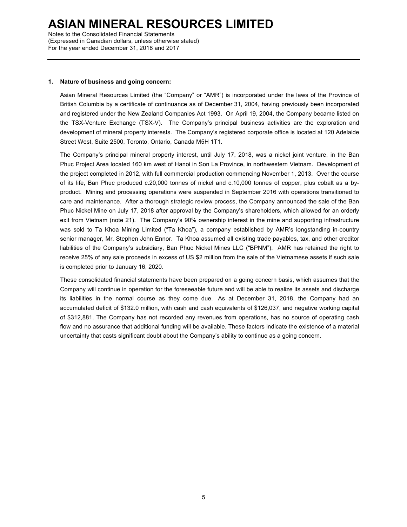Notes to the Consolidated Financial Statements (Expressed in Canadian dollars, unless otherwise stated) For the year ended December 31, 2018 and 2017

#### **1. Nature of business and going concern:**

Asian Mineral Resources Limited (the "Company" or "AMR") is incorporated under the laws of the Province of British Columbia by a certificate of continuance as of December 31, 2004, having previously been incorporated and registered under the New Zealand Companies Act 1993. On April 19, 2004, the Company became listed on the TSX-Venture Exchange (TSX-V). The Company's principal business activities are the exploration and development of mineral property interests. The Company's registered corporate office is located at 120 Adelaide Street West, Suite 2500, Toronto, Ontario, Canada M5H 1T1.

The Company's principal mineral property interest, until July 17, 2018, was a nickel joint venture, in the Ban Phuc Project Area located 160 km west of Hanoi in Son La Province, in northwestern Vietnam. Development of the project completed in 2012, with full commercial production commencing November 1, 2013. Over the course of its life, Ban Phuc produced c.20,000 tonnes of nickel and c.10,000 tonnes of copper, plus cobalt as a byproduct. Mining and processing operations were suspended in September 2016 with operations transitioned to care and maintenance. After a thorough strategic review process, the Company announced the sale of the Ban Phuc Nickel Mine on July 17, 2018 after approval by the Company's shareholders, which allowed for an orderly exit from Vietnam (note 21). The Company's 90% ownership interest in the mine and supporting infrastructure was sold to Ta Khoa Mining Limited ("Ta Khoa"), a company established by AMR's longstanding in-country senior manager, Mr. Stephen John Ennor. Ta Khoa assumed all existing trade payables, tax, and other creditor liabilities of the Company's subsidiary, Ban Phuc Nickel Mines LLC ("BPNM"). AMR has retained the right to receive 25% of any sale proceeds in excess of US \$2 million from the sale of the Vietnamese assets if such sale is completed prior to January 16, 2020.

These consolidated financial statements have been prepared on a going concern basis, which assumes that the Company will continue in operation for the foreseeable future and will be able to realize its assets and discharge its liabilities in the normal course as they come due. As at December 31, 2018, the Company had an accumulated deficit of \$132.0 million, with cash and cash equivalents of \$126,037, and negative working capital of \$312,881. The Company has not recorded any revenues from operations, has no source of operating cash flow and no assurance that additional funding will be available. These factors indicate the existence of a material uncertainty that casts significant doubt about the Company's ability to continue as a going concern.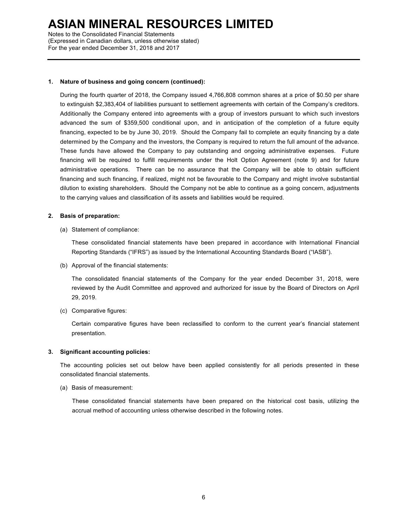Notes to the Consolidated Financial Statements (Expressed in Canadian dollars, unless otherwise stated) For the year ended December 31, 2018 and 2017

#### **1. Nature of business and going concern (continued):**

During the fourth quarter of 2018, the Company issued 4,766,808 common shares at a price of \$0.50 per share to extinguish \$2,383,404 of liabilities pursuant to settlement agreements with certain of the Company's creditors. Additionally the Company entered into agreements with a group of investors pursuant to which such investors advanced the sum of \$359,500 conditional upon, and in anticipation of the completion of a future equity financing, expected to be by June 30, 2019. Should the Company fail to complete an equity financing by a date determined by the Company and the investors, the Company is required to return the full amount of the advance. These funds have allowed the Company to pay outstanding and ongoing administrative expenses. Future financing will be required to fulfill requirements under the Holt Option Agreement (note 9) and for future administrative operations. There can be no assurance that the Company will be able to obtain sufficient financing and such financing, if realized, might not be favourable to the Company and might involve substantial dilution to existing shareholders. Should the Company not be able to continue as a going concern, adjustments to the carrying values and classification of its assets and liabilities would be required.

#### **2. Basis of preparation:**

(a) Statement of compliance:

These consolidated financial statements have been prepared in accordance with International Financial Reporting Standards ("IFRS") as issued by the International Accounting Standards Board ("IASB").

(b) Approval of the financial statements:

The consolidated financial statements of the Company for the year ended December 31, 2018, were reviewed by the Audit Committee and approved and authorized for issue by the Board of Directors on April 29, 2019.

(c) Comparative figures:

Certain comparative figures have been reclassified to conform to the current year's financial statement presentation.

#### **3. Significant accounting policies:**

The accounting policies set out below have been applied consistently for all periods presented in these consolidated financial statements.

(a) Basis of measurement:

These consolidated financial statements have been prepared on the historical cost basis, utilizing the accrual method of accounting unless otherwise described in the following notes.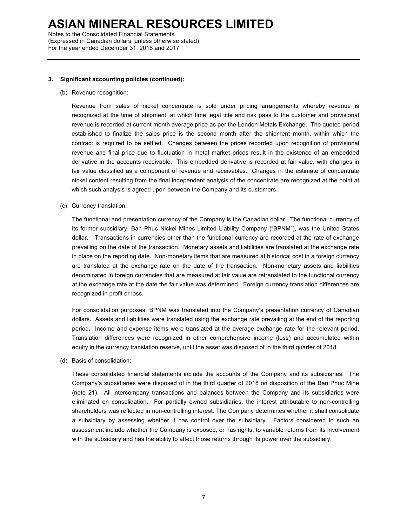Notes to the Consolidated Financial Statements (Expressed in Canadian dollars, unless otherwise stated) For the year ended December 31, 2018 and 2017

#### **3. Significant accounting policies (continued):**

(b) Revenue recognition:

Revenue from sales of nickel concentrate is sold under pricing arrangements whereby revenue is recognized at the time of shipment, at which time legal title and risk pass to the customer and provisional revenue is recorded at current month average price as per the London Metals Exchange. The quoted period established to finalize the sales price is the second month after the shipment month, within which the contract is required to be settled. Changes between the prices recorded upon recognition of provisional revenue and final price due to fluctuation in metal market prices result in the existence of an embedded derivative in the accounts receivable. This embedded derivative is recorded at fair value, with changes in fair value classified as a component of revenue and receivables. Changes in the estimate of concentrate nickel content resulting from the final independent analysis of the concentrate are recognized at the point at which such analysis is agreed upon between the Company and its customers.

(c) Currency translation:

The functional and presentation currency of the Company is the Canadian dollar. The functional currency of its former subsidiary, Ban Phuc Nickel Mines Limited Liability Company ("BPNM"), was the United States dollar. Transactions in currencies other than the functional currency are recorded at the rate of exchange prevailing on the date of the transaction. Monetary assets and liabilities are translated at the exchange rate in place on the reporting date. Non-monetary items that are measured at historical cost in a foreign currency are translated at the exchange rate on the date of the transaction. Non-monetary assets and liabilities denominated in foreign currencies that are measured at fair value are retranslated to the functional currency at the exchange rate at the date the fair value was determined. Foreign currency translation differences are recognized in profit or loss.

For consolidation purposes, BPNM was translated into the Company's presentation currency of Canadian dollars. Assets and liabilities were translated using the exchange rate prevailing at the end of the reporting period. Income and expense items were translated at the average exchange rate for the relevant period. Translation differences were recognized in other comprehensive income (loss) and accumulated within equity in the currency translation reserve, until the asset was disposed of in the third quarter of 2018.

(d) Basis of consolidation:

These consolidated financial statements include the accounts of the Company and its subsidiaries. The Company's subsidiaries were disposed of in the third quarter of 2018 on disposition of the Ban Phuc Mine (note 21). All intercompany transactions and balances between the Company and its subsidiaries were eliminated on consolidation. For partially owned subsidiaries, the interest attributable to non-controlling shareholders was reflected in non-controlling interest. The Company determines whether it shall consolidate a subsidiary by assessing whether it has control over the subsidiary. Factors considered in such an assessment include whether the Company is exposed, or has rights, to variable returns from its involvement with the subsidiary and has the ability to affect those returns through its power over the subsidiary.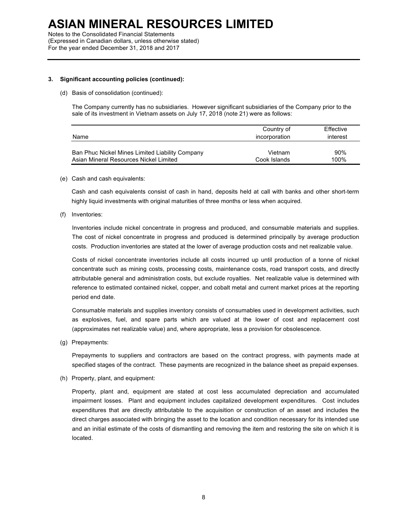Notes to the Consolidated Financial Statements (Expressed in Canadian dollars, unless otherwise stated) For the year ended December 31, 2018 and 2017

#### **3. Significant accounting policies (continued):**

(d) Basis of consolidation (continued):

The Company currently has no subsidiaries. However significant subsidiaries of the Company prior to the sale of its investment in Vietnam assets on July 17, 2018 (note 21) were as follows:

| Name                                            | Country of<br>incorporation | Effective<br>interest |
|-------------------------------------------------|-----------------------------|-----------------------|
| Ban Phuc Nickel Mines Limited Liability Company | Vietnam                     | 90%                   |
| Asian Mineral Resources Nickel Limited          | Cook Islands                | 100%                  |

#### (e) Cash and cash equivalents:

Cash and cash equivalents consist of cash in hand, deposits held at call with banks and other short-term highly liquid investments with original maturities of three months or less when acquired.

#### (f) Inventories:

Inventories include nickel concentrate in progress and produced, and consumable materials and supplies. The cost of nickel concentrate in progress and produced is determined principally by average production costs. Production inventories are stated at the lower of average production costs and net realizable value.

Costs of nickel concentrate inventories include all costs incurred up until production of a tonne of nickel concentrate such as mining costs, processing costs, maintenance costs, road transport costs, and directly attributable general and administration costs, but exclude royalties. Net realizable value is determined with reference to estimated contained nickel, copper, and cobalt metal and current market prices at the reporting period end date.

Consumable materials and supplies inventory consists of consumables used in development activities, such as explosives, fuel, and spare parts which are valued at the lower of cost and replacement cost (approximates net realizable value) and, where appropriate, less a provision for obsolescence.

(g) Prepayments:

Prepayments to suppliers and contractors are based on the contract progress, with payments made at specified stages of the contract. These payments are recognized in the balance sheet as prepaid expenses.

(h) Property, plant, and equipment:

Property, plant and, equipment are stated at cost less accumulated depreciation and accumulated impairment losses. Plant and equipment includes capitalized development expenditures. Cost includes expenditures that are directly attributable to the acquisition or construction of an asset and includes the direct charges associated with bringing the asset to the location and condition necessary for its intended use and an initial estimate of the costs of dismantling and removing the item and restoring the site on which it is located.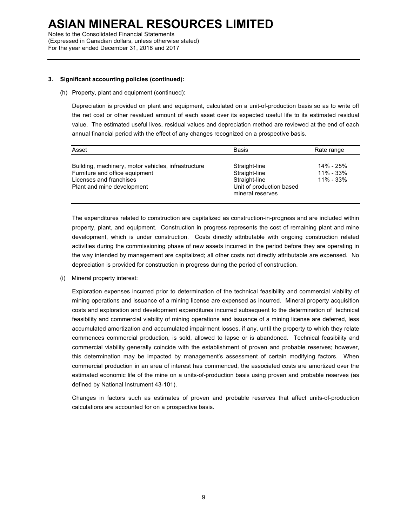Notes to the Consolidated Financial Statements (Expressed in Canadian dollars, unless otherwise stated) For the year ended December 31, 2018 and 2017

#### **3. Significant accounting policies (continued):**

(h) Property, plant and equipment (continued):

Depreciation is provided on plant and equipment, calculated on a unit-of-production basis so as to write off the net cost or other revalued amount of each asset over its expected useful life to its estimated residual value. The estimated useful lives, residual values and depreciation method are reviewed at the end of each annual financial period with the effect of any changes recognized on a prospective basis.

| Asset                                                                                                                                          | <b>Basis</b>                                                                                    | Rate range                                  |
|------------------------------------------------------------------------------------------------------------------------------------------------|-------------------------------------------------------------------------------------------------|---------------------------------------------|
| Building, machinery, motor vehicles, infrastructure<br>Furniture and office equipment<br>Licenses and franchises<br>Plant and mine development | Straight-line<br>Straight-line<br>Straight-line<br>Unit of production based<br>mineral reserves | 14% - 25%<br>$11\% - 33\%$<br>$11\% - 33\%$ |

The expenditures related to construction are capitalized as construction-in-progress and are included within property, plant, and equipment. Construction in progress represents the cost of remaining plant and mine development, which is under construction. Costs directly attributable with ongoing construction related activities during the commissioning phase of new assets incurred in the period before they are operating in the way intended by management are capitalized; all other costs not directly attributable are expensed. No depreciation is provided for construction in progress during the period of construction.

(i) Mineral property interest:

Exploration expenses incurred prior to determination of the technical feasibility and commercial viability of mining operations and issuance of a mining license are expensed as incurred. Mineral property acquisition costs and exploration and development expenditures incurred subsequent to the determination of technical feasibility and commercial viability of mining operations and issuance of a mining license are deferred, less accumulated amortization and accumulated impairment losses, if any, until the property to which they relate commences commercial production, is sold, allowed to lapse or is abandoned. Technical feasibility and commercial viability generally coincide with the establishment of proven and probable reserves; however, this determination may be impacted by management's assessment of certain modifying factors. When commercial production in an area of interest has commenced, the associated costs are amortized over the estimated economic life of the mine on a units-of-production basis using proven and probable reserves (as defined by National Instrument 43-101).

Changes in factors such as estimates of proven and probable reserves that affect units-of-production calculations are accounted for on a prospective basis.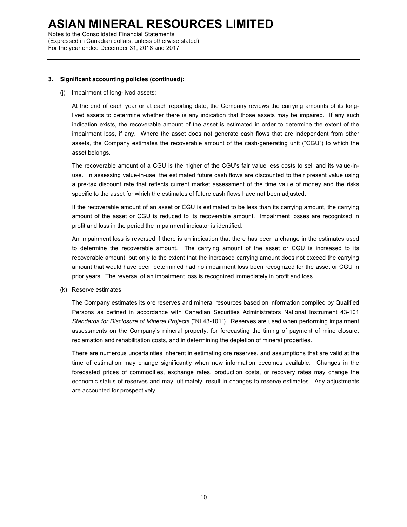Notes to the Consolidated Financial Statements (Expressed in Canadian dollars, unless otherwise stated) For the year ended December 31, 2018 and 2017

#### **3. Significant accounting policies (continued):**

(j) Impairment of long-lived assets:

At the end of each year or at each reporting date, the Company reviews the carrying amounts of its longlived assets to determine whether there is any indication that those assets may be impaired. If any such indication exists, the recoverable amount of the asset is estimated in order to determine the extent of the impairment loss, if any. Where the asset does not generate cash flows that are independent from other assets, the Company estimates the recoverable amount of the cash-generating unit ("CGU") to which the asset belongs.

The recoverable amount of a CGU is the higher of the CGU's fair value less costs to sell and its value-inuse. In assessing value-in-use, the estimated future cash flows are discounted to their present value using a pre-tax discount rate that reflects current market assessment of the time value of money and the risks specific to the asset for which the estimates of future cash flows have not been adjusted.

If the recoverable amount of an asset or CGU is estimated to be less than its carrying amount, the carrying amount of the asset or CGU is reduced to its recoverable amount. Impairment losses are recognized in profit and loss in the period the impairment indicator is identified.

An impairment loss is reversed if there is an indication that there has been a change in the estimates used to determine the recoverable amount. The carrying amount of the asset or CGU is increased to its recoverable amount, but only to the extent that the increased carrying amount does not exceed the carrying amount that would have been determined had no impairment loss been recognized for the asset or CGU in prior years. The reversal of an impairment loss is recognized immediately in profit and loss.

(k) Reserve estimates:

The Company estimates its ore reserves and mineral resources based on information compiled by Qualified Persons as defined in accordance with Canadian Securities Administrators National Instrument 43-101 *Standards for Disclosure of Mineral Projects* ("NI 43-101"). Reserves are used when performing impairment assessments on the Company's mineral property, for forecasting the timing of payment of mine closure, reclamation and rehabilitation costs, and in determining the depletion of mineral properties.

There are numerous uncertainties inherent in estimating ore reserves, and assumptions that are valid at the time of estimation may change significantly when new information becomes available. Changes in the forecasted prices of commodities, exchange rates, production costs, or recovery rates may change the economic status of reserves and may, ultimately, result in changes to reserve estimates. Any adjustments are accounted for prospectively.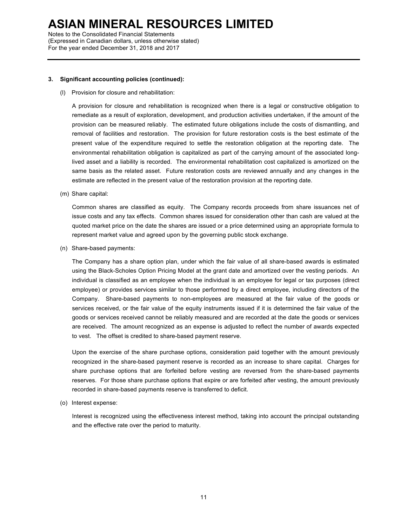Notes to the Consolidated Financial Statements (Expressed in Canadian dollars, unless otherwise stated) For the year ended December 31, 2018 and 2017

#### **3. Significant accounting policies (continued):**

(l) Provision for closure and rehabilitation:

A provision for closure and rehabilitation is recognized when there is a legal or constructive obligation to remediate as a result of exploration, development, and production activities undertaken, if the amount of the provision can be measured reliably. The estimated future obligations include the costs of dismantling, and removal of facilities and restoration. The provision for future restoration costs is the best estimate of the present value of the expenditure required to settle the restoration obligation at the reporting date. The environmental rehabilitation obligation is capitalized as part of the carrying amount of the associated longlived asset and a liability is recorded. The environmental rehabilitation cost capitalized is amortized on the same basis as the related asset. Future restoration costs are reviewed annually and any changes in the estimate are reflected in the present value of the restoration provision at the reporting date.

(m) Share capital:

Common shares are classified as equity. The Company records proceeds from share issuances net of issue costs and any tax effects. Common shares issued for consideration other than cash are valued at the quoted market price on the date the shares are issued or a price determined using an appropriate formula to represent market value and agreed upon by the governing public stock exchange.

(n) Share-based payments:

The Company has a share option plan, under which the fair value of all share-based awards is estimated using the Black-Scholes Option Pricing Model at the grant date and amortized over the vesting periods. An individual is classified as an employee when the individual is an employee for legal or tax purposes (direct employee) or provides services similar to those performed by a direct employee, including directors of the Company. Share-based payments to non-employees are measured at the fair value of the goods or services received, or the fair value of the equity instruments issued if it is determined the fair value of the goods or services received cannot be reliably measured and are recorded at the date the goods or services are received. The amount recognized as an expense is adjusted to reflect the number of awards expected to vest. The offset is credited to share-based payment reserve.

Upon the exercise of the share purchase options, consideration paid together with the amount previously recognized in the share-based payment reserve is recorded as an increase to share capital. Charges for share purchase options that are forfeited before vesting are reversed from the share-based payments reserves. For those share purchase options that expire or are forfeited after vesting, the amount previously recorded in share-based payments reserve is transferred to deficit.

(o) Interest expense:

Interest is recognized using the effectiveness interest method, taking into account the principal outstanding and the effective rate over the period to maturity.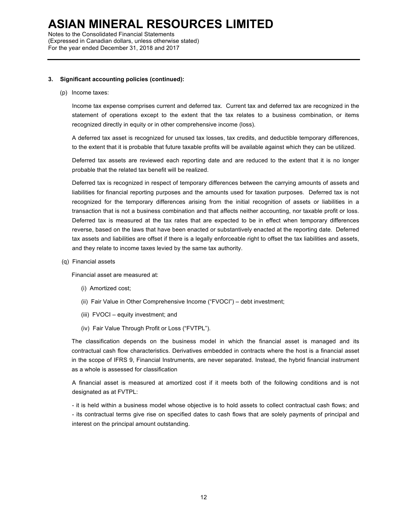Notes to the Consolidated Financial Statements (Expressed in Canadian dollars, unless otherwise stated) For the year ended December 31, 2018 and 2017

#### **3. Significant accounting policies (continued):**

#### (p) Income taxes:

Income tax expense comprises current and deferred tax. Current tax and deferred tax are recognized in the statement of operations except to the extent that the tax relates to a business combination, or items recognized directly in equity or in other comprehensive income (loss).

A deferred tax asset is recognized for unused tax losses, tax credits, and deductible temporary differences, to the extent that it is probable that future taxable profits will be available against which they can be utilized.

Deferred tax assets are reviewed each reporting date and are reduced to the extent that it is no longer probable that the related tax benefit will be realized.

Deferred tax is recognized in respect of temporary differences between the carrying amounts of assets and liabilities for financial reporting purposes and the amounts used for taxation purposes. Deferred tax is not recognized for the temporary differences arising from the initial recognition of assets or liabilities in a transaction that is not a business combination and that affects neither accounting, nor taxable profit or loss. Deferred tax is measured at the tax rates that are expected to be in effect when temporary differences reverse, based on the laws that have been enacted or substantively enacted at the reporting date. Deferred tax assets and liabilities are offset if there is a legally enforceable right to offset the tax liabilities and assets, and they relate to income taxes levied by the same tax authority.

(q) Financial assets

Financial asset are measured at:

- (i) Amortized cost;
- (ii) Fair Value in Other Comprehensive Income ("FVOCI") debt investment;
- (iii) FVOCI equity investment; and
- (iv) Fair Value Through Profit or Loss ("FVTPL").

The classification depends on the business model in which the financial asset is managed and its contractual cash flow characteristics. Derivatives embedded in contracts where the host is a financial asset in the scope of IFRS 9, Financial Instruments, are never separated. Instead, the hybrid financial instrument as a whole is assessed for classification

A financial asset is measured at amortized cost if it meets both of the following conditions and is not designated as at FVTPL:

- it is held within a business model whose objective is to hold assets to collect contractual cash flows; and - its contractual terms give rise on specified dates to cash flows that are solely payments of principal and interest on the principal amount outstanding.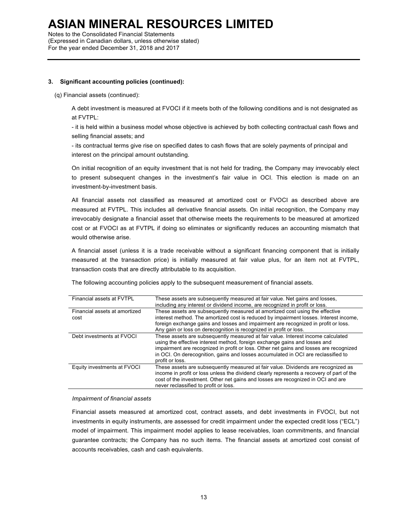Notes to the Consolidated Financial Statements (Expressed in Canadian dollars, unless otherwise stated) For the year ended December 31, 2018 and 2017

#### **3. Significant accounting policies (continued):**

(q) Financial assets (continued):

A debt investment is measured at FVOCI if it meets both of the following conditions and is not designated as at FVTPL:

- it is held within a business model whose objective is achieved by both collecting contractual cash flows and selling financial assets; and

- its contractual terms give rise on specified dates to cash flows that are solely payments of principal and interest on the principal amount outstanding.

On initial recognition of an equity investment that is not held for trading, the Company may irrevocably elect to present subsequent changes in the investment's fair value in OCI. This election is made on an investment-by-investment basis.

All financial assets not classified as measured at amortized cost or FVOCI as described above are measured at FVTPL. This includes all derivative financial assets. On initial recognition, the Company may irrevocably designate a financial asset that otherwise meets the requirements to be measured at amortized cost or at FVOCI as at FVTPL if doing so eliminates or significantly reduces an accounting mismatch that would otherwise arise.

A financial asset (unless it is a trade receivable without a significant financing component that is initially measured at the transaction price) is initially measured at fair value plus, for an item not at FVTPL, transaction costs that are directly attributable to its acquisition.

The following accounting policies apply to the subsequent measurement of financial assets.

| Financial assets at FVTPL             | These assets are subsequently measured at fair value. Net gains and losses,<br>including any interest or dividend income, are recognized in profit or loss.                                                                                                                                                                                                      |
|---------------------------------------|------------------------------------------------------------------------------------------------------------------------------------------------------------------------------------------------------------------------------------------------------------------------------------------------------------------------------------------------------------------|
| Financial assets at amortized<br>cost | These assets are subsequently measured at amortized cost using the effective<br>interest method. The amortized cost is reduced by impairment losses. Interest income,<br>foreign exchange gains and losses and impairment are recognized in profit or loss.<br>Any gain or loss on derecognition is recognized in profit or loss.                                |
| Debt investments at FVOCI             | These assets are subsequently measured at fair value. Interest income calculated<br>using the effective interest method, foreign exchange gains and losses and<br>impairment are recognized in profit or loss. Other net gains and losses are recognized<br>in OCI. On derecognition, gains and losses accumulated in OCI are reclassified to<br>profit or loss. |
| Equity investments at FVOCI           | These assets are subsequently measured at fair value. Dividends are recognized as<br>income in profit or loss unless the dividend clearly represents a recovery of part of the<br>cost of the investment. Other net gains and losses are recognized in OCI and are<br>never reclassified to profit or loss.                                                      |

#### *Impairment of financial assets*

Financial assets measured at amortized cost, contract assets, and debt investments in FVOCI, but not investments in equity instruments, are assessed for credit impairment under the expected credit loss ("ECL") model of impairment. This impairment model applies to lease receivables, loan commitments, and financial guarantee contracts; the Company has no such items. The financial assets at amortized cost consist of accounts receivables, cash and cash equivalents.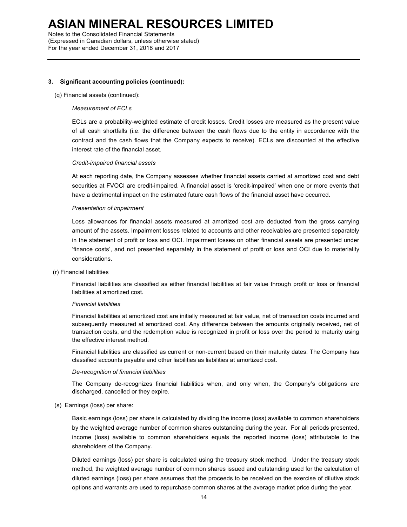Notes to the Consolidated Financial Statements (Expressed in Canadian dollars, unless otherwise stated) For the year ended December 31, 2018 and 2017

#### **3. Significant accounting policies (continued):**

(q) Financial assets (continued):

#### *Measurement of ECLs*

ECLs are a probability-weighted estimate of credit losses. Credit losses are measured as the present value of all cash shortfalls (i.e. the difference between the cash flows due to the entity in accordance with the contract and the cash flows that the Company expects to receive). ECLs are discounted at the effective interest rate of the financial asset.

#### *Credit-impaired financial assets*

At each reporting date, the Company assesses whether financial assets carried at amortized cost and debt securities at FVOCI are credit-impaired. A financial asset is 'credit-impaired' when one or more events that have a detrimental impact on the estimated future cash flows of the financial asset have occurred.

#### *Presentation of impairment*

Loss allowances for financial assets measured at amortized cost are deducted from the gross carrying amount of the assets. Impairment losses related to accounts and other receivables are presented separately in the statement of profit or loss and OCI. Impairment losses on other financial assets are presented under 'finance costs', and not presented separately in the statement of profit or loss and OCI due to materiality considerations.

#### (r) Financial liabilities

Financial liabilities are classified as either financial liabilities at fair value through profit or loss or financial liabilities at amortized cost.

#### *Financial liabilities*

Financial liabilities at amortized cost are initially measured at fair value, net of transaction costs incurred and subsequently measured at amortized cost. Any difference between the amounts originally received, net of transaction costs, and the redemption value is recognized in profit or loss over the period to maturity using the effective interest method.

Financial liabilities are classified as current or non-current based on their maturity dates. The Company has classified accounts payable and other liabilities as liabilities at amortized cost.

#### *De-recognition of financial liabilities*

The Company de-recognizes financial liabilities when, and only when, the Company's obligations are discharged, cancelled or they expire.

#### (s) Earnings (loss) per share:

Basic earnings (loss) per share is calculated by dividing the income (loss) available to common shareholders by the weighted average number of common shares outstanding during the year. For all periods presented, income (loss) available to common shareholders equals the reported income (loss) attributable to the shareholders of the Company.

Diluted earnings (loss) per share is calculated using the treasury stock method. Under the treasury stock method, the weighted average number of common shares issued and outstanding used for the calculation of diluted earnings (loss) per share assumes that the proceeds to be received on the exercise of dilutive stock options and warrants are used to repurchase common shares at the average market price during the year.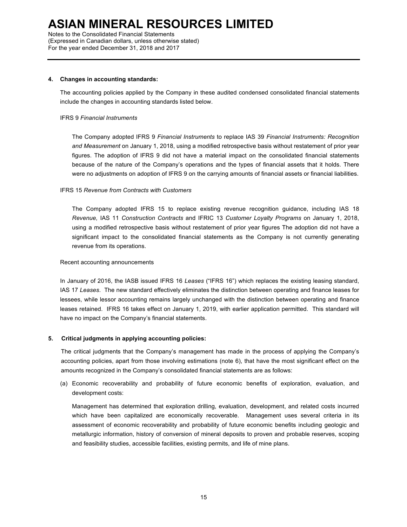Notes to the Consolidated Financial Statements (Expressed in Canadian dollars, unless otherwise stated) For the year ended December 31, 2018 and 2017

#### **4. Changes in accounting standards:**

The accounting policies applied by the Company in these audited condensed consolidated financial statements include the changes in accounting standards listed below.

#### IFRS 9 *Financial Instruments*

The Company adopted IFRS 9 *Financial Instruments* to replace IAS 39 *Financial Instruments: Recognition and Measurement* on January 1, 2018, using a modified retrospective basis without restatement of prior year figures. The adoption of IFRS 9 did not have a material impact on the consolidated financial statements because of the nature of the Company's operations and the types of financial assets that it holds. There were no adjustments on adoption of IFRS 9 on the carrying amounts of financial assets or financial liabilities.

#### IFRS 15 *Revenue from Contracts with Customers*

The Company adopted IFRS 15 to replace existing revenue recognition guidance, including IAS 18 *Revenue,* IAS 11 *Construction Contracts* and IFRIC 13 *Customer Loyalty Programs* on January 1, 2018, using a modified retrospective basis without restatement of prior year figures The adoption did not have a significant impact to the consolidated financial statements as the Company is not currently generating revenue from its operations.

#### Recent accounting announcements

In January of 2016, the IASB issued IFRS 16 *Leases* ("IFRS 16") which replaces the existing leasing standard, IAS 17 *Leases*. The new standard effectively eliminates the distinction between operating and finance leases for lessees, while lessor accounting remains largely unchanged with the distinction between operating and finance leases retained. IFRS 16 takes effect on January 1, 2019, with earlier application permitted. This standard will have no impact on the Company's financial statements.

#### **5. Critical judgments in applying accounting policies:**

The critical judgments that the Company's management has made in the process of applying the Company's accounting policies, apart from those involving estimations (note 6), that have the most significant effect on the amounts recognized in the Company's consolidated financial statements are as follows:

(a) Economic recoverability and probability of future economic benefits of exploration, evaluation, and development costs:

Management has determined that exploration drilling, evaluation, development, and related costs incurred which have been capitalized are economically recoverable. Management uses several criteria in its assessment of economic recoverability and probability of future economic benefits including geologic and metallurgic information, history of conversion of mineral deposits to proven and probable reserves, scoping and feasibility studies, accessible facilities, existing permits, and life of mine plans.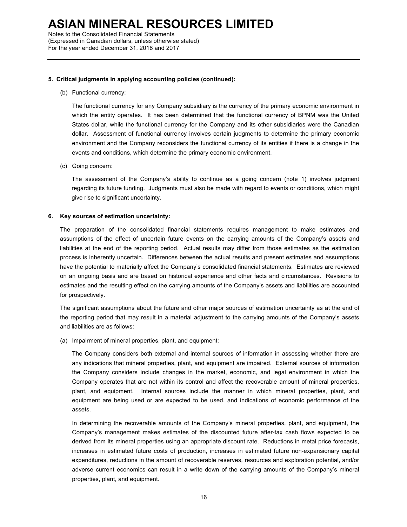Notes to the Consolidated Financial Statements (Expressed in Canadian dollars, unless otherwise stated) For the year ended December 31, 2018 and 2017

#### **5. Critical judgments in applying accounting policies (continued):**

(b) Functional currency:

The functional currency for any Company subsidiary is the currency of the primary economic environment in which the entity operates. It has been determined that the functional currency of BPNM was the United States dollar, while the functional currency for the Company and its other subsidiaries were the Canadian dollar. Assessment of functional currency involves certain judgments to determine the primary economic environment and the Company reconsiders the functional currency of its entities if there is a change in the events and conditions, which determine the primary economic environment.

(c) Going concern:

The assessment of the Company's ability to continue as a going concern (note 1) involves judgment regarding its future funding. Judgments must also be made with regard to events or conditions, which might give rise to significant uncertainty.

#### **6. Key sources of estimation uncertainty:**

The preparation of the consolidated financial statements requires management to make estimates and assumptions of the effect of uncertain future events on the carrying amounts of the Company's assets and liabilities at the end of the reporting period. Actual results may differ from those estimates as the estimation process is inherently uncertain. Differences between the actual results and present estimates and assumptions have the potential to materially affect the Company's consolidated financial statements. Estimates are reviewed on an ongoing basis and are based on historical experience and other facts and circumstances. Revisions to estimates and the resulting effect on the carrying amounts of the Company's assets and liabilities are accounted for prospectively.

The significant assumptions about the future and other major sources of estimation uncertainty as at the end of the reporting period that may result in a material adjustment to the carrying amounts of the Company's assets and liabilities are as follows:

(a) Impairment of mineral properties, plant, and equipment:

The Company considers both external and internal sources of information in assessing whether there are any indications that mineral properties, plant, and equipment are impaired. External sources of information the Company considers include changes in the market, economic, and legal environment in which the Company operates that are not within its control and affect the recoverable amount of mineral properties, plant, and equipment. Internal sources include the manner in which mineral properties, plant, and equipment are being used or are expected to be used, and indications of economic performance of the assets.

In determining the recoverable amounts of the Company's mineral properties, plant, and equipment, the Company's management makes estimates of the discounted future after-tax cash flows expected to be derived from its mineral properties using an appropriate discount rate. Reductions in metal price forecasts, increases in estimated future costs of production, increases in estimated future non-expansionary capital expenditures, reductions in the amount of recoverable reserves, resources and exploration potential, and/or adverse current economics can result in a write down of the carrying amounts of the Company's mineral properties, plant, and equipment.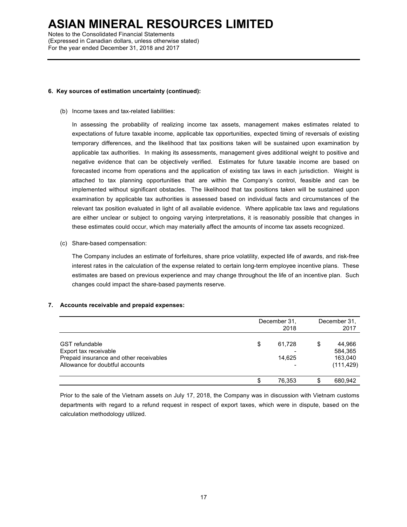Notes to the Consolidated Financial Statements (Expressed in Canadian dollars, unless otherwise stated) For the year ended December 31, 2018 and 2017

#### **6. Key sources of estimation uncertainty (continued):**

(b) Income taxes and tax-related liabilities:

In assessing the probability of realizing income tax assets, management makes estimates related to expectations of future taxable income, applicable tax opportunities, expected timing of reversals of existing temporary differences, and the likelihood that tax positions taken will be sustained upon examination by applicable tax authorities. In making its assessments, management gives additional weight to positive and negative evidence that can be objectively verified. Estimates for future taxable income are based on forecasted income from operations and the application of existing tax laws in each jurisdiction. Weight is attached to tax planning opportunities that are within the Company's control, feasible and can be implemented without significant obstacles. The likelihood that tax positions taken will be sustained upon examination by applicable tax authorities is assessed based on individual facts and circumstances of the relevant tax position evaluated in light of all available evidence. Where applicable tax laws and regulations are either unclear or subject to ongoing varying interpretations, it is reasonably possible that changes in these estimates could occur, which may materially affect the amounts of income tax assets recognized.

(c) Share-based compensation:

The Company includes an estimate of forfeitures, share price volatility, expected life of awards, and risk-free interest rates in the calculation of the expense related to certain long-term employee incentive plans. These estimates are based on previous experience and may change throughout the life of an incentive plan. Such changes could impact the share-based payments reserve.

#### **7. Accounts receivable and prepaid expenses:**

|                                                                                                                              |    | December 31,<br>2018 |    | December 31.<br>2017                       |
|------------------------------------------------------------------------------------------------------------------------------|----|----------------------|----|--------------------------------------------|
| <b>GST</b> refundable<br>Export tax receivable<br>Prepaid insurance and other receivables<br>Allowance for doubtful accounts | \$ | 61.728<br>14.625     | \$ | 44,966<br>584,365<br>163,040<br>(111, 429) |
|                                                                                                                              | S  | 76.353               | S  | 680.942                                    |

Prior to the sale of the Vietnam assets on July 17, 2018, the Company was in discussion with Vietnam customs departments with regard to a refund request in respect of export taxes, which were in dispute, based on the calculation methodology utilized.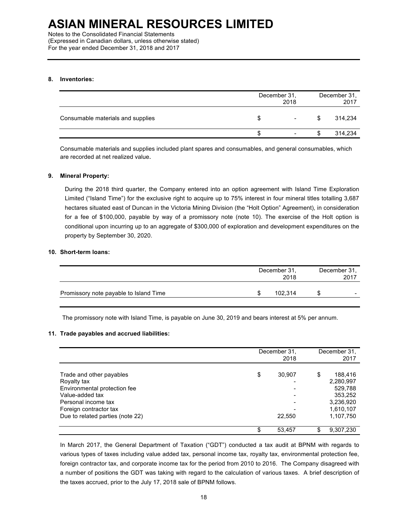Notes to the Consolidated Financial Statements (Expressed in Canadian dollars, unless otherwise stated) For the year ended December 31, 2018 and 2017

#### **8. Inventories:**

|                                   | December 31, | 2018                         |     | December 31,<br>2017 |
|-----------------------------------|--------------|------------------------------|-----|----------------------|
| Consumable materials and supplies | S.           | $\sim$                       | \$. | 314.234              |
|                                   |              | $\qquad \qquad \blacksquare$ | S   | 314,234              |

Consumable materials and supplies included plant spares and consumables, and general consumables, which are recorded at net realized value.

#### **9. Mineral Property:**

During the 2018 third quarter, the Company entered into an option agreement with Island Time Exploration Limited ("Island Time") for the exclusive right to acquire up to 75% interest in four mineral titles totalling 3,687 hectares situated east of Duncan in the Victoria Mining Division (the "Holt Option" Agreement), in consideration for a fee of \$100,000, payable by way of a promissory note (note 10). The exercise of the Holt option is conditional upon incurring up to an aggregate of \$300,000 of exploration and development expenditures on the property by September 30, 2020.

#### **10. Short-term loans:**

|                                        | December 31,<br>2018 | December 31,<br>2017 |
|----------------------------------------|----------------------|----------------------|
| Promissory note payable to Island Time | 102.314              | -                    |

The promissory note with Island Time, is payable on June 30, 2019 and bears interest at 5% per annum.

#### **11. Trade payables and accrued liabilities:**

|                                  | December 31,<br>2018     | December 31,<br>2017 |
|----------------------------------|--------------------------|----------------------|
| Trade and other payables         | \$<br>30,907             | \$<br>188.416        |
| Royalty tax                      |                          | 2,280,997            |
| Environmental protection fee     |                          | 529,788              |
| Value-added tax                  |                          | 353,252              |
| Personal income tax              | $\overline{\phantom{a}}$ | 3,236,920            |
| Foreign contractor tax           |                          | 1,610,107            |
| Due to related parties (note 22) | 22,550                   | 1,107,750            |
|                                  | \$<br>53,457             | \$<br>9,307,230      |

In March 2017, the General Department of Taxation ("GDT") conducted a tax audit at BPNM with regards to various types of taxes including value added tax, personal income tax, royalty tax, environmental protection fee, foreign contractor tax, and corporate income tax for the period from 2010 to 2016. The Company disagreed with a number of positions the GDT was taking with regard to the calculation of various taxes. A brief description of the taxes accrued, prior to the July 17, 2018 sale of BPNM follows.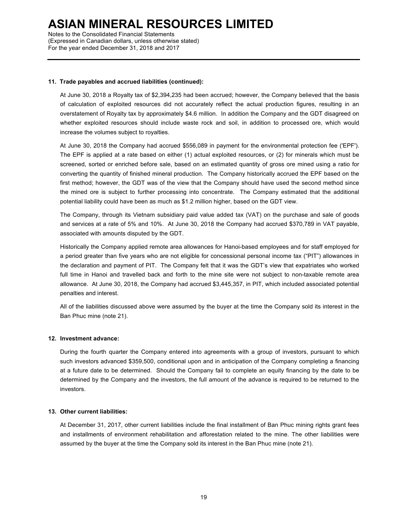Notes to the Consolidated Financial Statements (Expressed in Canadian dollars, unless otherwise stated) For the year ended December 31, 2018 and 2017

#### **11. Trade payables and accrued liabilities (continued):**

At June 30, 2018 a Royalty tax of \$2,394,235 had been accrued; however, the Company believed that the basis of calculation of exploited resources did not accurately reflect the actual production figures, resulting in an overstatement of Royalty tax by approximately \$4.6 million. In addition the Company and the GDT disagreed on whether exploited resources should include waste rock and soil, in addition to processed ore, which would increase the volumes subject to royalties.

At June 30, 2018 the Company had accrued \$556,089 in payment for the environmental protection fee ('EPF'). The EPF is applied at a rate based on either (1) actual exploited resources, or (2) for minerals which must be screened, sorted or enriched before sale, based on an estimated quantity of gross ore mined using a ratio for converting the quantity of finished mineral production. The Company historically accrued the EPF based on the first method; however, the GDT was of the view that the Company should have used the second method since the mined ore is subject to further processing into concentrate. The Company estimated that the additional potential liability could have been as much as \$1.2 million higher, based on the GDT view.

The Company, through its Vietnam subsidiary paid value added tax (VAT) on the purchase and sale of goods and services at a rate of 5% and 10%. At June 30, 2018 the Company had accrued \$370,789 in VAT payable, associated with amounts disputed by the GDT.

Historically the Company applied remote area allowances for Hanoi-based employees and for staff employed for a period greater than five years who are not eligible for concessional personal income tax ("PIT") allowances in the declaration and payment of PIT. The Company felt that it was the GDT's view that expatriates who worked full time in Hanoi and travelled back and forth to the mine site were not subject to non-taxable remote area allowance. At June 30, 2018, the Company had accrued \$3,445,357, in PIT, which included associated potential penalties and interest.

All of the liabilities discussed above were assumed by the buyer at the time the Company sold its interest in the Ban Phuc mine (note 21).

#### **12. Investment advance:**

During the fourth quarter the Company entered into agreements with a group of investors, pursuant to which such investors advanced \$359,500, conditional upon and in anticipation of the Company completing a financing at a future date to be determined. Should the Company fail to complete an equity financing by the date to be determined by the Company and the investors, the full amount of the advance is required to be returned to the investors.

#### **13. Other current liabilities:**

At December 31, 2017, other current liabilities include the final installment of Ban Phuc mining rights grant fees and installments of environment rehabilitation and afforestation related to the mine. The other liabilities were assumed by the buyer at the time the Company sold its interest in the Ban Phuc mine (note 21).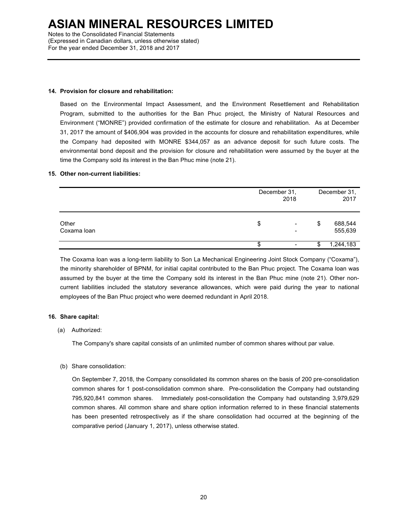Notes to the Consolidated Financial Statements (Expressed in Canadian dollars, unless otherwise stated) For the year ended December 31, 2018 and 2017

#### **14. Provision for closure and rehabilitation:**

Based on the Environmental Impact Assessment, and the Environment Resettlement and Rehabilitation Program, submitted to the authorities for the Ban Phuc project, the Ministry of Natural Resources and Environment ("MONRE") provided confirmation of the estimate for closure and rehabilitation. As at December 31, 2017 the amount of \$406,904 was provided in the accounts for closure and rehabilitation expenditures, while the Company had deposited with MONRE \$344,057 as an advance deposit for such future costs. The environmental bond deposit and the provision for closure and rehabilitation were assumed by the buyer at the time the Company sold its interest in the Ban Phuc mine (note 21).

#### **15. Other non-current liabilities:**

|                      | December 31,<br>2018                |    | December 31,<br>2017 |
|----------------------|-------------------------------------|----|----------------------|
| Other<br>Coxama loan | \$<br>$\overline{\phantom{a}}$<br>- | \$ | 688,544<br>555,639   |
|                      | \$<br>$\overline{\phantom{a}}$      | S  | 1,244,183            |

The Coxama loan was a long-term liability to Son La Mechanical Engineering Joint Stock Company ("Coxama"), the minority shareholder of BPNM, for initial capital contributed to the Ban Phuc project. The Coxama loan was assumed by the buyer at the time the Company sold its interest in the Ban Phuc mine (note 21). Other noncurrent liabilities included the statutory severance allowances, which were paid during the year to national employees of the Ban Phuc project who were deemed redundant in April 2018.

#### **16. Share capital:**

#### (a) Authorized:

The Company's share capital consists of an unlimited number of common shares without par value.

#### (b) Share consolidation:

On September 7, 2018, the Company consolidated its common shares on the basis of 200 pre-consolidation common shares for 1 post-consolidation common share. Pre-consolidation the Company had outstanding 795,920,841 common shares. Immediately post-consolidation the Company had outstanding 3,979,629 common shares. All common share and share option information referred to in these financial statements has been presented retrospectively as if the share consolidation had occurred at the beginning of the comparative period (January 1, 2017), unless otherwise stated.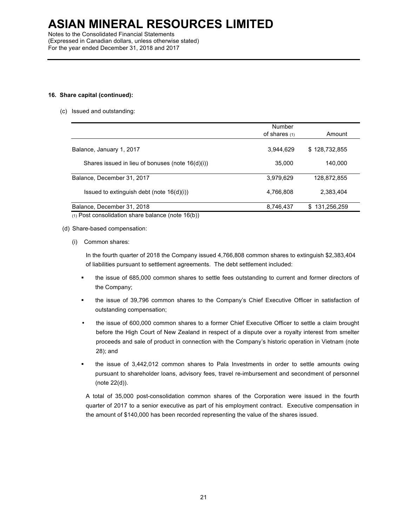Notes to the Consolidated Financial Statements (Expressed in Canadian dollars, unless otherwise stated) For the year ended December 31, 2018 and 2017

#### **16. Share capital (continued):**

(c) Issued and outstanding:

|                                                  | Number<br>of shares $(1)$ | Amount        |
|--------------------------------------------------|---------------------------|---------------|
| Balance, January 1, 2017                         | 3,944,629                 | \$128,732,855 |
| Shares issued in lieu of bonuses (note 16(d)(i)) | 35,000                    | 140,000       |
| Balance, December 31, 2017                       | 3,979,629                 | 128,872,855   |
| Issued to extinguish debt (note $16(d)(i)$ )     | 4,766,808                 | 2,383,404     |
| Balance, December 31, 2018                       | 8,746,437                 | \$131,256,259 |

(1) Post consolidation share balance (note 16(b))

(d) Share-based compensation:

(i) Common shares:

In the fourth quarter of 2018 the Company issued 4,766,808 common shares to extinguish \$2,383,404 of liabilities pursuant to settlement agreements. The debt settlement included:

- the issue of 685,000 common shares to settle fees outstanding to current and former directors of the Company;
- the issue of 39,796 common shares to the Company's Chief Executive Officer in satisfaction of outstanding compensation;
- the issue of 600,000 common shares to a former Chief Executive Officer to settle a claim brought before the High Court of New Zealand in respect of a dispute over a royalty interest from smelter proceeds and sale of product in connection with the Company's historic operation in Vietnam (note 28); and
- § the issue of 3,442,012 common shares to Pala Investments in order to settle amounts owing pursuant to shareholder loans, advisory fees, travel re-imbursement and secondment of personnel (note 22(d)).

A total of 35,000 post-consolidation common shares of the Corporation were issued in the fourth quarter of 2017 to a senior executive as part of his employment contract. Executive compensation in the amount of \$140,000 has been recorded representing the value of the shares issued.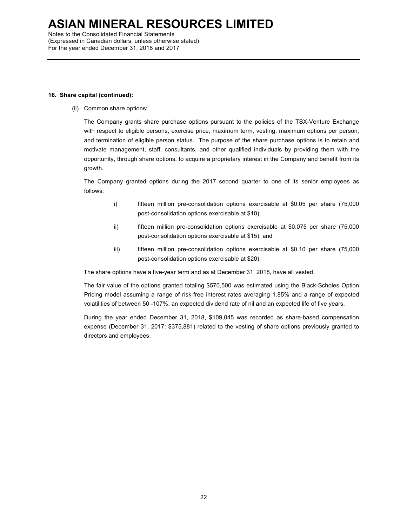Notes to the Consolidated Financial Statements (Expressed in Canadian dollars, unless otherwise stated) For the year ended December 31, 2018 and 2017

#### **16. Share capital (continued):**

(ii) Common share options:

The Company grants share purchase options pursuant to the policies of the TSX-Venture Exchange with respect to eligible persons, exercise price, maximum term, vesting, maximum options per person, and termination of eligible person status. The purpose of the share purchase options is to retain and motivate management, staff, consultants, and other qualified individuals by providing them with the opportunity, through share options, to acquire a proprietary interest in the Company and benefit from its growth.

The Company granted options during the 2017 second quarter to one of its senior employees as follows:

- i) fifteen million pre-consolidation options exercisable at \$0.05 per share (75,000 post-consolidation options exercisable at \$10);
- ii) fifteen million pre-consolidation options exercisable at \$0.075 per share (75,000 post-consolidation options exercisable at \$15); and
- iii) fifteen million pre-consolidation options exercisable at \$0.10 per share (75,000 post-consolidation options exercisable at \$20).

The share options have a five-year term and as at December 31, 2018, have all vested.

The fair value of the options granted totaling \$570,500 was estimated using the Black-Scholes Option Pricing model assuming a range of risk-free interest rates averaging 1.85% and a range of expected volatilities of between 50 -107%, an expected dividend rate of nil and an expected life of five years.

During the year ended December 31, 2018, \$109,045 was recorded as share-based compensation expense (December 31, 2017: \$375,881) related to the vesting of share options previously granted to directors and employees.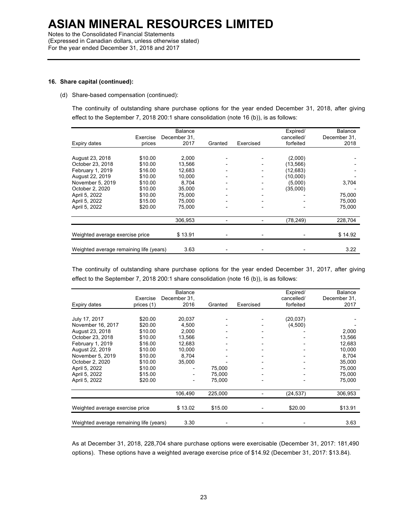Notes to the Consolidated Financial Statements (Expressed in Canadian dollars, unless otherwise stated) For the year ended December 31, 2018 and 2017

#### **16. Share capital (continued):**

#### (d) Share-based compensation (continued):

The continuity of outstanding share purchase options for the year ended December 31, 2018, after giving effect to the September 7, 2018 200:1 share consolidation (note 16 (b)), is as follows:

|                                         |          | <b>Balance</b> |         |           | Expired/   | Balance      |
|-----------------------------------------|----------|----------------|---------|-----------|------------|--------------|
|                                         | Exercise | December 31.   |         |           | cancelled/ | December 31. |
| Expiry dates                            | prices   | 2017           | Granted | Exercised | forfeited  | 2018         |
|                                         |          |                |         |           |            |              |
| August 23, 2018                         | \$10.00  | 2.000          |         |           | (2,000)    |              |
| October 23, 2018                        | \$10.00  | 13.566         |         |           | (13, 566)  |              |
| February 1, 2019                        | \$16.00  | 12.683         |         |           | (12,683)   |              |
| August 22, 2019                         | \$10.00  | 10.000         |         |           | (10,000)   |              |
| November 5, 2019                        | \$10.00  | 8.704          |         |           | (5,000)    | 3,704        |
| October 2, 2020                         | \$10.00  | 35.000         |         |           | (35,000)   |              |
| April 5, 2022                           | \$10.00  | 75.000         |         |           |            | 75.000       |
| April 5, 2022                           | \$15.00  | 75,000         |         |           |            | 75,000       |
| April 5, 2022                           | \$20.00  | 75.000         |         |           |            | 75,000       |
|                                         |          | 306,953        |         |           | (78, 249)  | 228,704      |
| Weighted average exercise price         |          | \$13.91        |         |           |            | \$14.92      |
| Weighted average remaining life (years) |          | 3.63           |         |           |            | 3.22         |

The continuity of outstanding share purchase options for the year ended December 31, 2017, after giving effect to the September 7, 2018 200:1 share consolidation (note 16 (b)), is as follows:

| Expiry dates                            | Exercise<br>prices (1) | <b>Balance</b><br>December 31.<br>2016 | Granted | Exercised | Expired/<br>cancelled/<br>forfeited | <b>Balance</b><br>December 31,<br>2017 |
|-----------------------------------------|------------------------|----------------------------------------|---------|-----------|-------------------------------------|----------------------------------------|
|                                         |                        |                                        |         |           |                                     |                                        |
| July 17, 2017                           | \$20.00                | 20,037                                 |         |           | (20, 037)                           |                                        |
| November 16, 2017                       | \$20.00                | 4,500                                  |         |           | (4,500)                             |                                        |
| August 23, 2018                         | \$10.00                | 2,000                                  |         |           |                                     | 2,000                                  |
| October 23, 2018                        | \$10.00                | 13.566                                 |         |           |                                     | 13,566                                 |
| February 1, 2019                        | \$16.00                | 12,683                                 |         |           |                                     | 12,683                                 |
| August 22, 2019                         | \$10.00                | 10,000                                 |         |           |                                     | 10,000                                 |
| November 5, 2019                        | \$10.00                | 8.704                                  |         |           |                                     | 8.704                                  |
| October 2, 2020                         | \$10.00                | 35,000                                 |         |           |                                     | 35,000                                 |
| April 5, 2022                           | \$10.00                |                                        | 75,000  |           |                                     | 75,000                                 |
| April 5, 2022                           | \$15.00                |                                        | 75,000  |           |                                     | 75,000                                 |
| April 5, 2022                           | \$20.00                |                                        | 75,000  |           |                                     | 75.000                                 |
|                                         |                        | 106,490                                | 225,000 |           | (24,537)                            | 306,953                                |
| Weighted average exercise price         |                        | \$13.02                                | \$15.00 |           | \$20.00                             | \$13.91                                |
|                                         |                        |                                        |         |           |                                     |                                        |
| Weighted average remaining life (years) |                        | 3.30                                   |         |           |                                     | 3.63                                   |

As at December 31, 2018, 228,704 share purchase options were exercisable (December 31, 2017: 181,490 options). These options have a weighted average exercise price of \$14.92 (December 31, 2017: \$13.84).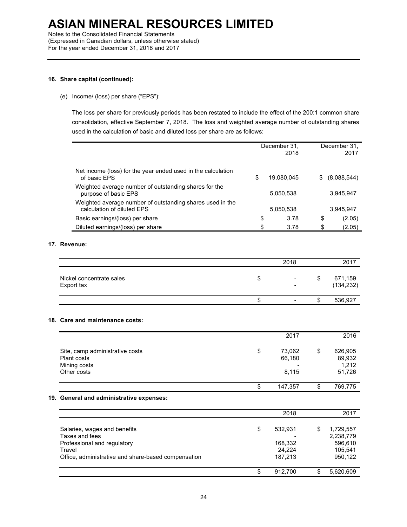Notes to the Consolidated Financial Statements (Expressed in Canadian dollars, unless otherwise stated) For the year ended December 31, 2018 and 2017

#### **16. Share capital (continued):**

#### (e) Income/ (loss) per share ("EPS"):

The loss per share for previously periods has been restated to include the effect of the 200:1 common share consolidation, effective September 7, 2018. The loss and weighted average number of outstanding shares used in the calculation of basic and diluted loss per share are as follows:

|                                                                                         |    | December 31,<br>2018    | December 31,<br>2017 |                          |  |
|-----------------------------------------------------------------------------------------|----|-------------------------|----------------------|--------------------------|--|
| Net income (loss) for the year ended used in the calculation<br>of basic EPS            | \$ |                         |                      |                          |  |
| Weighted average number of outstanding shares for the<br>purpose of basic EPS           |    | 19,080,045<br>5,050,538 | S.                   | (8,088,544)<br>3.945.947 |  |
| Weighted average number of outstanding shares used in the<br>calculation of diluted EPS |    | 5,050,538               |                      | 3,945,947                |  |
| Basic earnings/(loss) per share                                                         | \$ | 3.78                    | \$                   | (2.05)                   |  |
| Diluted earnings/(loss) per share                                                       | S  | 3.78                    | S                    | (2.05)                   |  |

#### **17. Revenue:**

|                                        |     | 2018                                       |    | 2017                  |
|----------------------------------------|-----|--------------------------------------------|----|-----------------------|
| Nickel concentrate sales<br>Export tax |     | $\blacksquare$<br>$\overline{\phantom{a}}$ | \$ | 671,159<br>(134, 232) |
|                                        | ۰D. | $\overline{\phantom{a}}$                   | S  | 536,927               |

#### **18. Care and maintenance costs:**

|                                                                               | 2017                            |    | 2016                                 |
|-------------------------------------------------------------------------------|---------------------------------|----|--------------------------------------|
| Site, camp administrative costs<br>Plant costs<br>Mining costs<br>Other costs | \$<br>73,062<br>66,180<br>8,115 | \$ | 626,905<br>89,932<br>1,212<br>51,726 |
|                                                                               | \$<br>147,357                   | S  | 769,775                              |

#### **19. General and administrative expenses:**

|                                                     | 2018              |   | 2017                            |
|-----------------------------------------------------|-------------------|---|---------------------------------|
| Salaries, wages and benefits<br>Taxes and fees      | \$<br>532,931     | S | 1,729,557                       |
| Professional and regulatory<br>Travel               | 168,332<br>24.224 |   | 2,238,779<br>596,610<br>105.541 |
| Office, administrative and share-based compensation | 187.213           |   | 950,122                         |
|                                                     | 912.700           |   | 5.620.609                       |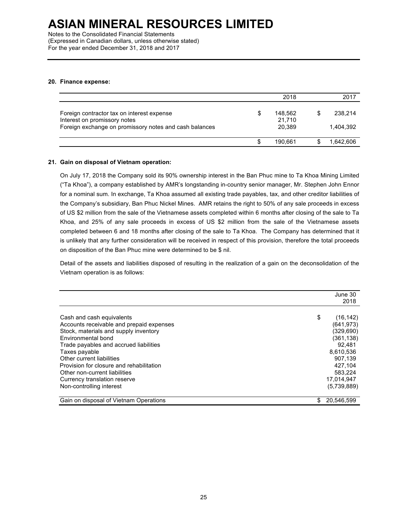Notes to the Consolidated Financial Statements (Expressed in Canadian dollars, unless otherwise stated) For the year ended December 31, 2018 and 2017

#### **20. Finance expense:**

|                                                                                                                                      |   | 2018                        |   | 2017                 |
|--------------------------------------------------------------------------------------------------------------------------------------|---|-----------------------------|---|----------------------|
| Foreign contractor tax on interest expense<br>Interest on promissory notes<br>Foreign exchange on promissory notes and cash balances | S | 148.562<br>21,710<br>20.389 | S | 238.214<br>1.404.392 |
|                                                                                                                                      |   | 190.661                     |   | 1,642,606            |

#### **21. Gain on disposal of Vietnam operation:**

On July 17, 2018 the Company sold its 90% ownership interest in the Ban Phuc mine to Ta Khoa Mining Limited ("Ta Khoa"), a company established by AMR's longstanding in-country senior manager, Mr. Stephen John Ennor for a nominal sum. In exchange, Ta Khoa assumed all existing trade payables, tax, and other creditor liabilities of the Company's subsidiary, Ban Phuc Nickel Mines. AMR retains the right to 50% of any sale proceeds in excess of US \$2 million from the sale of the Vietnamese assets completed within 6 months after closing of the sale to Ta Khoa, and 25% of any sale proceeds in excess of US \$2 million from the sale of the Vietnamese assets completed between 6 and 18 months after closing of the sale to Ta Khoa. The Company has determined that it is unlikely that any further consideration will be received in respect of this provision, therefore the total proceeds on disposition of the Ban Phuc mine were determined to be \$ nil.

Detail of the assets and liabilities disposed of resulting in the realization of a gain on the deconsolidation of the Vietnam operation is as follows:

|                                          |     | June 30<br>2018 |
|------------------------------------------|-----|-----------------|
| Cash and cash equivalents                | \$  | (16, 142)       |
| Accounts receivable and prepaid expenses |     | (641, 973)      |
| Stock, materials and supply inventory    |     | (329, 690)      |
| <b>Environmental bond</b>                |     | (361, 138)      |
| Trade payables and accrued liabilities   |     | 92.481          |
| Taxes payable                            |     | 8,610,536       |
| Other current liabilities                |     | 907.139         |
| Provision for closure and rehabilitation |     | 427.104         |
| Other non-current liabilities            |     | 583.224         |
| Currency translation reserve             |     | 17,014,947      |
| Non-controlling interest                 |     | (5,739,889)     |
| Gain on disposal of Vietnam Operations   | \$. | 20,546,599      |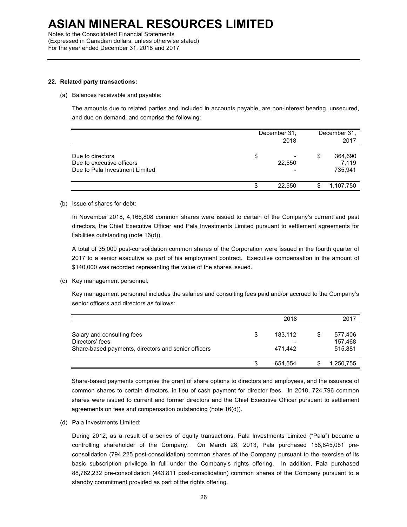Notes to the Consolidated Financial Statements (Expressed in Canadian dollars, unless otherwise stated) For the year ended December 31, 2018 and 2017

#### **22. Related party transactions:**

(a) Balances receivable and payable:

The amounts due to related parties and included in accounts payable, are non-interest bearing, unsecured, and due on demand, and comprise the following:

|                                                                                 |    | December 31.<br>2018 | December 31,<br>2017              |
|---------------------------------------------------------------------------------|----|----------------------|-----------------------------------|
| Due to directors<br>Due to executive officers<br>Due to Pala Investment Limited | \$ | 22,550               | \$<br>364,690<br>7.119<br>735.941 |
|                                                                                 | S  | 22.550               | 1,107,750                         |

#### (b) Issue of shares for debt:

In November 2018, 4,166,808 common shares were issued to certain of the Company's current and past directors, the Chief Executive Officer and Pala Investments Limited pursuant to settlement agreements for liabilities outstanding (note 16(d)).

A total of 35,000 post-consolidation common shares of the Corporation were issued in the fourth quarter of 2017 to a senior executive as part of his employment contract. Executive compensation in the amount of \$140,000 was recorded representing the value of the shares issued.

(c) Key management personnel:

Key management personnel includes the salaries and consulting fees paid and/or accrued to the Company's senior officers and directors as follows:

|                                                                                                      |   | 2018               |   | 2017                          |
|------------------------------------------------------------------------------------------------------|---|--------------------|---|-------------------------------|
| Salary and consulting fees<br>Directors' fees<br>Share-based payments, directors and senior officers | S | 183.112<br>471.442 | S | 577.406<br>157.468<br>515.881 |
|                                                                                                      | S | 654.554            |   | 1,250,755                     |

Share-based payments comprise the grant of share options to directors and employees, and the issuance of common shares to certain directors, in lieu of cash payment for director fees. In 2018, 724,796 common shares were issued to current and former directors and the Chief Executive Officer pursuant to settlement agreements on fees and compensation outstanding (note 16(d)).

(d) Pala Investments Limited:

During 2012, as a result of a series of equity transactions, Pala Investments Limited ("Pala") became a controlling shareholder of the Company. On March 28, 2013, Pala purchased 158,845,081 preconsolidation (794,225 post-consolidation) common shares of the Company pursuant to the exercise of its basic subscription privilege in full under the Company's rights offering. In addition, Pala purchased 88,762,232 pre-consolidation (443,811 post-consolidation) common shares of the Company pursuant to a standby commitment provided as part of the rights offering.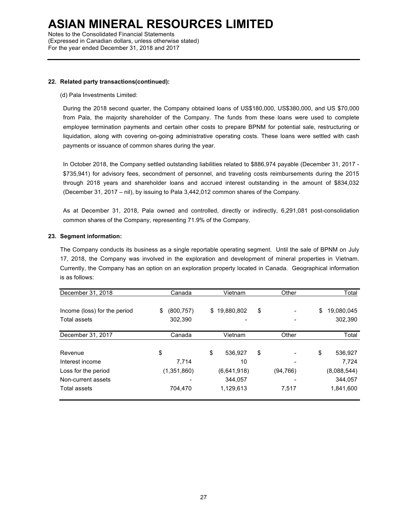Notes to the Consolidated Financial Statements (Expressed in Canadian dollars, unless otherwise stated) For the year ended December 31, 2018 and 2017

#### **22. Related party transactions(continued):**

(d) Pala Investments Limited:

During the 2018 second quarter, the Company obtained loans of US\$180,000, US\$380,000, and US \$70,000 from Pala, the majority shareholder of the Company. The funds from these loans were used to complete employee termination payments and certain other costs to prepare BPNM for potential sale, restructuring or liquidation, along with covering on-going administrative operating costs. These loans were settled with cash payments or issuance of common shares during the year.

In October 2018, the Company settled outstanding liabilities related to \$886,974 payable (December 31, 2017 - \$735,941) for advisory fees, secondment of personnel, and traveling costs reimbursements during the 2015 through 2018 years and shareholder loans and accrued interest outstanding in the amount of \$834,032 (December 31, 2017 – nil), by issuing to Pala 3,442,012 common shares of the Company.

As at December 31, 2018, Pala owned and controlled, directly or indirectly, 6,291,081 post-consolidation common shares of the Company, representing 71.9% of the Company.

#### **23. Segment information:**

The Company conducts its business as a single reportable operating segment. Until the sale of BPNM on July 17, 2018, the Company was involved in the exploration and development of mineral properties in Vietnam. Currently, the Company has an option on an exploration property located in Canada. Geographical information is as follows:

| December 31, 2018            | Canada           | Vietnam       | Other    | Total            |
|------------------------------|------------------|---------------|----------|------------------|
| Income (loss) for the period | (800, 757)<br>\$ | \$19,880,802  | \$       | 19,080,045<br>\$ |
| Total assets                 | 302,390          |               |          | 302,390          |
| December 31, 2017            | Canada           | Vietnam       | Other    | Total            |
| Revenue                      | \$               | \$<br>536,927 | \$       | \$<br>536,927    |
| Interest income              | 7.714            | 10            |          | 7.724            |
| Loss for the period          | (1,351,860)      | (6,641,918)   | (94,766) | (8,088,544)      |
| Non-current assets           |                  | 344,057       |          | 344,057          |
| Total assets                 | 704,470          | 1,129,613     | 7,517    | 1,841,600        |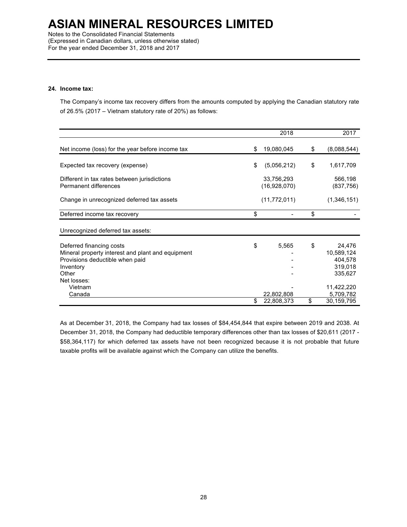Notes to the Consolidated Financial Statements (Expressed in Canadian dollars, unless otherwise stated) For the year ended December 31, 2018 and 2017

#### **24. Income tax:**

The Company's income tax recovery differs from the amounts computed by applying the Canadian statutory rate of 26.5% (2017 – Vietnam statutory rate of 20%) as follows:

|                                                                                                                                                                  |                | 2018                       |    | 2017                                                                |
|------------------------------------------------------------------------------------------------------------------------------------------------------------------|----------------|----------------------------|----|---------------------------------------------------------------------|
| Net income (loss) for the year before income tax                                                                                                                 | \$             | 19,080,045                 | \$ | (8,088,544)                                                         |
| Expected tax recovery (expense)                                                                                                                                  | \$             | (5,056,212)                | \$ | 1,617,709                                                           |
| Different in tax rates between jurisdictions<br>Permanent differences                                                                                            |                | 33,756,293<br>(16,928,070) |    | 566,198<br>(837,756)                                                |
| Change in unrecognized deferred tax assets                                                                                                                       | (11, 772, 011) |                            |    | (1,346,151)                                                         |
| Deferred income tax recovery                                                                                                                                     | \$             |                            | \$ |                                                                     |
| Unrecognized deferred tax assets:                                                                                                                                |                |                            |    |                                                                     |
| Deferred financing costs<br>Mineral property interest and plant and equipment<br>Provisions deductible when paid<br>Inventory<br>Other<br>Net losses:<br>Vietnam | \$             | 5,565                      | \$ | 24,476<br>10,589,124<br>404,578<br>319,018<br>335,627<br>11,422,220 |
| Canada                                                                                                                                                           | \$             | 22,802,808<br>22,808,373   | \$ | 5,709,782<br>30,159,795                                             |

As at December 31, 2018, the Company had tax losses of \$84,454,844 that expire between 2019 and 2038. At December 31, 2018, the Company had deductible temporary differences other than tax losses of \$20,611 (2017 - \$58,364,117) for which deferred tax assets have not been recognized because it is not probable that future taxable profits will be available against which the Company can utilize the benefits.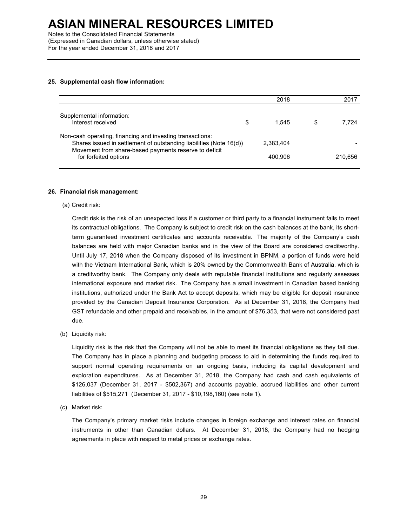Notes to the Consolidated Financial Statements (Expressed in Canadian dollars, unless otherwise stated) For the year ended December 31, 2018 and 2017

#### **25. Supplemental cash flow information:**

|                                                                                                                                                                                           |   | 2018      |   | 2017    |
|-------------------------------------------------------------------------------------------------------------------------------------------------------------------------------------------|---|-----------|---|---------|
| Supplemental information:<br>Interest received                                                                                                                                            | S | 1.545     | S | 7.724   |
| Non-cash operating, financing and investing transactions:<br>Shares issued in settlement of outstanding liabilities (Note 16(d))<br>Movement from share-based payments reserve to deficit |   | 2.383.404 |   |         |
| for forfeited options                                                                                                                                                                     |   | 400.906   |   | 210.656 |

#### **26. Financial risk management:**

(a) Credit risk:

Credit risk is the risk of an unexpected loss if a customer or third party to a financial instrument fails to meet its contractual obligations. The Company is subject to credit risk on the cash balances at the bank, its shortterm guaranteed investment certificates and accounts receivable. The majority of the Company's cash balances are held with major Canadian banks and in the view of the Board are considered creditworthy. Until July 17, 2018 when the Company disposed of its investment in BPNM, a portion of funds were held with the Vietnam International Bank, which is 20% owned by the Commonwealth Bank of Australia, which is a creditworthy bank. The Company only deals with reputable financial institutions and regularly assesses international exposure and market risk. The Company has a small investment in Canadian based banking institutions, authorized under the Bank Act to accept deposits, which may be eligible for deposit insurance provided by the Canadian Deposit Insurance Corporation. As at December 31, 2018, the Company had GST refundable and other prepaid and receivables, in the amount of \$76,353, that were not considered past due.

(b) Liquidity risk:

Liquidity risk is the risk that the Company will not be able to meet its financial obligations as they fall due. The Company has in place a planning and budgeting process to aid in determining the funds required to support normal operating requirements on an ongoing basis, including its capital development and exploration expenditures. As at December 31, 2018, the Company had cash and cash equivalents of \$126,037 (December 31, 2017 - \$502,367) and accounts payable, accrued liabilities and other current liabilities of \$515,271 (December 31, 2017 - \$10,198,160) (see note 1).

(c) Market risk:

The Company's primary market risks include changes in foreign exchange and interest rates on financial instruments in other than Canadian dollars. At December 31, 2018, the Company had no hedging agreements in place with respect to metal prices or exchange rates.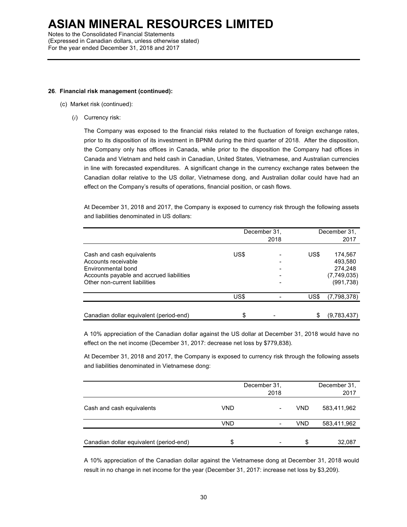Notes to the Consolidated Financial Statements (Expressed in Canadian dollars, unless otherwise stated) For the year ended December 31, 2018 and 2017

#### **26**. **Financial risk management (continued):**

- (c) Market risk (continued):
	- (*i*) Currency risk:

The Company was exposed to the financial risks related to the fluctuation of foreign exchange rates, prior to its disposition of its investment in BPNM during the third quarter of 2018. After the disposition, the Company only has offices in Canada, while prior to the disposition the Company had offices in Canada and Vietnam and held cash in Canadian, United States, Vietnamese, and Australian currencies in line with forecasted expenditures. A significant change in the currency exchange rates between the Canadian dollar relative to the US dollar, Vietnamese dong, and Australian dollar could have had an effect on the Company's results of operations, financial position, or cash flows.

At December 31, 2018 and 2017, the Company is exposed to currency risk through the following assets and liabilities denominated in US dollars:

|                                                                                                                                                     | December 31,<br>2018 |  | December 31.<br>2017 |                                                            |
|-----------------------------------------------------------------------------------------------------------------------------------------------------|----------------------|--|----------------------|------------------------------------------------------------|
| Cash and cash equivalents<br>Accounts receivable<br>Environmental bond<br>Accounts payable and accrued liabilities<br>Other non-current liabilities | US\$                 |  | US\$                 | 174.567<br>493,580<br>274,248<br>(7,749,035)<br>(991, 738) |
|                                                                                                                                                     | US\$                 |  | US\$                 | (7,798,378)                                                |
| Canadian dollar equivalent (period-end)                                                                                                             | \$                   |  | S                    | (9,783,437)                                                |

A 10% appreciation of the Canadian dollar against the US dollar at December 31, 2018 would have no effect on the net income (December 31, 2017: decrease net loss by \$779,838).

At December 31, 2018 and 2017, the Company is exposed to currency risk through the following assets and liabilities denominated in Vietnamese dong:

|                                         |     | December 31,<br>2018 |            | December 31.<br>2017 |
|-----------------------------------------|-----|----------------------|------------|----------------------|
| Cash and cash equivalents               | VND |                      | <b>VND</b> | 583,411,962          |
|                                         | VND |                      | VND        | 583,411,962          |
| Canadian dollar equivalent (period-end) | \$  |                      | \$         | 32,087               |

A 10% appreciation of the Canadian dollar against the Vietnamese dong at December 31, 2018 would result in no change in net income for the year (December 31, 2017: increase net loss by \$3,209).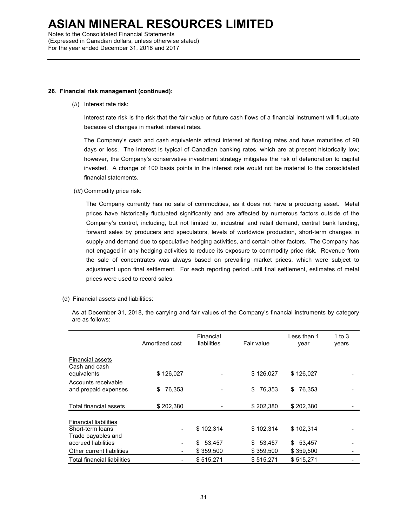Notes to the Consolidated Financial Statements (Expressed in Canadian dollars, unless otherwise stated) For the year ended December 31, 2018 and 2017

#### **26**. **Financial risk management (continued):**

(*ii*) Interest rate risk:

Interest rate risk is the risk that the fair value or future cash flows of a financial instrument will fluctuate because of changes in market interest rates.

The Company's cash and cash equivalents attract interest at floating rates and have maturities of 90 days or less. The interest is typical of Canadian banking rates, which are at present historically low; however, the Company's conservative investment strategy mitigates the risk of deterioration to capital invested. A change of 100 basis points in the interest rate would not be material to the consolidated financial statements.

(*iii*) Commodity price risk:

The Company currently has no sale of commodities, as it does not have a producing asset. Metal prices have historically fluctuated significantly and are affected by numerous factors outside of the Company's control, including, but not limited to, industrial and retail demand, central bank lending, forward sales by producers and speculators, levels of worldwide production, short-term changes in supply and demand due to speculative hedging activities, and certain other factors. The Company has not engaged in any hedging activities to reduce its exposure to commodity price risk. Revenue from the sale of concentrates was always based on prevailing market prices, which were subject to adjustment upon final settlement. For each reporting period until final settlement, estimates of metal prices were used to record sales.

(d) Financial assets and liabilities:

As at December 31, 2018, the carrying and fair values of the Company's financial instruments by category are as follows:

|                                                                        | Amortized cost               | Financial<br>liabilities | Fair value   | Less than 1<br>year | 1 to $3$<br>vears |
|------------------------------------------------------------------------|------------------------------|--------------------------|--------------|---------------------|-------------------|
|                                                                        |                              |                          |              |                     |                   |
| <b>Financial assets</b><br>Cash and cash                               |                              |                          |              |                     |                   |
| equivalents                                                            | \$126,027                    |                          | \$126,027    | \$126,027           |                   |
| Accounts receivable                                                    |                              |                          |              |                     |                   |
| and prepaid expenses                                                   | 76,353<br>\$.                |                          | \$<br>76,353 | \$<br>76,353        |                   |
| Total financial assets                                                 | \$202,380                    |                          | \$202,380    | \$202,380           |                   |
|                                                                        |                              |                          |              |                     |                   |
| <b>Financial liabilities</b><br>Short-term loans<br>Trade payables and | -                            | \$102,314                | \$102,314    | \$102.314           |                   |
| accrued liabilities                                                    | $\qquad \qquad \blacksquare$ | \$53,457                 | \$53,457     | \$ 53,457           |                   |
| Other current liabilities                                              | -                            | \$359,500                | \$359,500    | \$359,500           |                   |
| Total financial liabilities                                            |                              | \$515,271                | \$515,271    | \$515,271           |                   |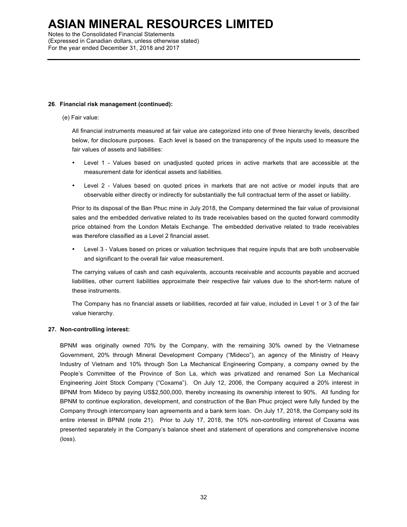Notes to the Consolidated Financial Statements (Expressed in Canadian dollars, unless otherwise stated) For the year ended December 31, 2018 and 2017

#### **26**. **Financial risk management (continued):**

#### (e) Fair value:

All financial instruments measured at fair value are categorized into one of three hierarchy levels, described below, for disclosure purposes. Each level is based on the transparency of the inputs used to measure the fair values of assets and liabilities:

- Level 1 Values based on unadjusted quoted prices in active markets that are accessible at the measurement date for identical assets and liabilities.
- Level 2 Values based on quoted prices in markets that are not active or model inputs that are observable either directly or indirectly for substantially the full contractual term of the asset or liability.

Prior to its disposal of the Ban Phuc mine in July 2018, the Company determined the fair value of provisional sales and the embedded derivative related to its trade receivables based on the quoted forward commodity price obtained from the London Metals Exchange. The embedded derivative related to trade receivables was therefore classified as a Level 2 financial asset.

Level 3 - Values based on prices or valuation techniques that require inputs that are both unobservable and significant to the overall fair value measurement.

The carrying values of cash and cash equivalents, accounts receivable and accounts payable and accrued liabilities, other current liabilities approximate their respective fair values due to the short-term nature of these instruments.

The Company has no financial assets or liabilities, recorded at fair value, included in Level 1 or 3 of the fair value hierarchy.

#### **27. Non-controlling interest:**

BPNM was originally owned 70% by the Company, with the remaining 30% owned by the Vietnamese Government, 20% through Mineral Development Company ("Mideco"), an agency of the Ministry of Heavy Industry of Vietnam and 10% through Son La Mechanical Engineering Company, a company owned by the People's Committee of the Province of Son La, which was privatized and renamed Son La Mechanical Engineering Joint Stock Company ("Coxama"). On July 12, 2006, the Company acquired a 20% interest in BPNM from Mideco by paying US\$2,500,000, thereby increasing its ownership interest to 90%. All funding for BPNM to continue exploration, development, and construction of the Ban Phuc project were fully funded by the Company through intercompany loan agreements and a bank term loan. On July 17, 2018, the Company sold its entire interest in BPNM (note 21). Prior to July 17, 2018, the 10% non-controlling interest of Coxama was presented separately in the Company's balance sheet and statement of operations and comprehensive income (loss).